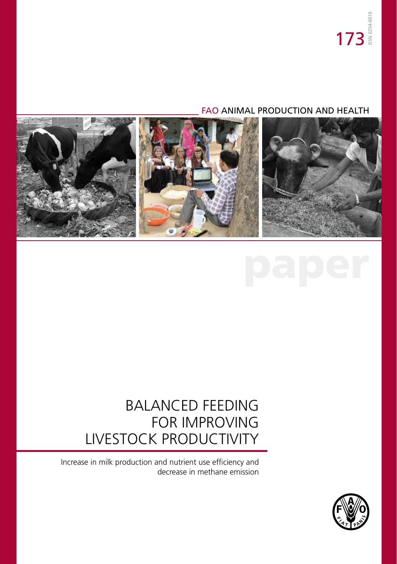### FAO ANIMAL PRODUCTION AND HEALTH



### BALANCED FEEDING FOR IMPROVING LIVESTOCK PRODUCTIVITY

Increase in milk production and nutrient use efficiency and decrease in methane emission

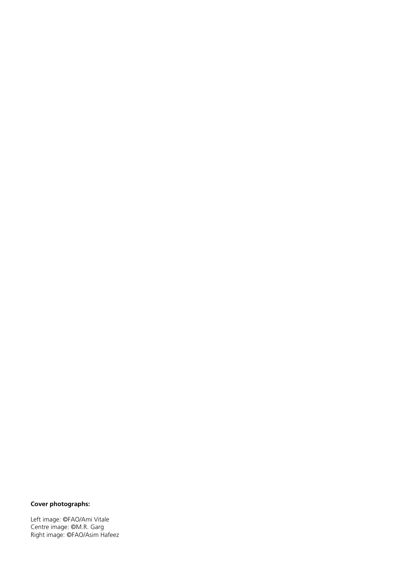#### **Cover photographs:**

Left image: ©FAO/Ami Vitale Centre image: ©M.R. Garg Right image: ©FAO/Asim Hafeez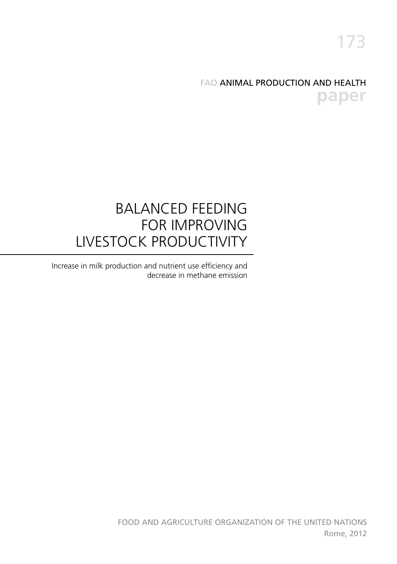### FAO ANIMAL PRODUCTION AND HEALTH **paper**

### BALANCED FEEDING FOR IMPROVING LIVESTOCK PRODUCTIVITY

Increase in milk production and nutrient use efficiency and decrease in methane emission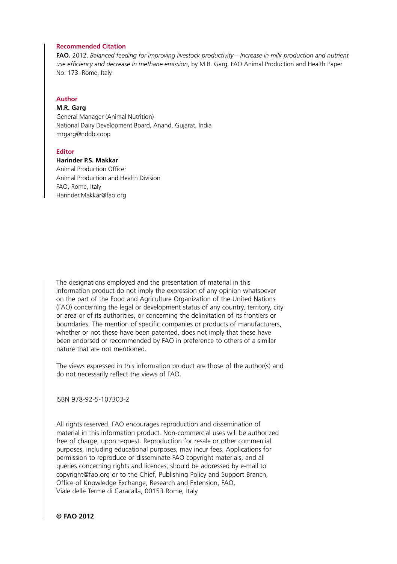#### **Recommended Citation**

**FAO.** 2012. *Balanced feeding for improving livestock productivity – Increase in milk production and nutrient use efficiency and decrease in methane emission*, by M.R. Garg. FAO Animal Production and Health Paper No. 173. Rome, Italy.

#### **Author**

#### **M.R. Garg**

General Manager (Animal Nutrition) National Dairy Development Board, Anand, Gujarat, India mrgarg@nddb.coop

#### **Editor**

#### **Harinder P.S. Makkar**

Animal Production Officer Animal Production and Health Division FAO, Rome, Italy Harinder.Makkar@fao.org

The designations employed and the presentation of material in this information product do not imply the expression of any opinion whatsoever on the part of the Food and Agriculture Organization of the United Nations (FAO) concerning the legal or development status of any country, territory, city or area or of its authorities, or concerning the delimitation of its frontiers or boundaries. The mention of specific companies or products of manufacturers, whether or not these have been patented, does not imply that these have been endorsed or recommended by FAO in preference to others of a similar nature that are not mentioned.

The views expressed in this information product are those of the author(s) and do not necessarily reflect the views of FAO.

ISBN 978-92-5-107303-2

All rights reserved. FAO encourages reproduction and dissemination of material in this information product. Non-commercial uses will be authorized free of charge, upon request. Reproduction for resale or other commercial purposes, including educational purposes, may incur fees. Applications for permission to reproduce or disseminate FAO copyright materials, and all queries concerning rights and licences, should be addressed by e-mail to copyright@fao.org or to the Chief, Publishing Policy and Support Branch, Office of Knowledge Exchange, Research and Extension, FAO, Viale delle Terme di Caracalla, 00153 Rome, Italy.

**© FAO 2012**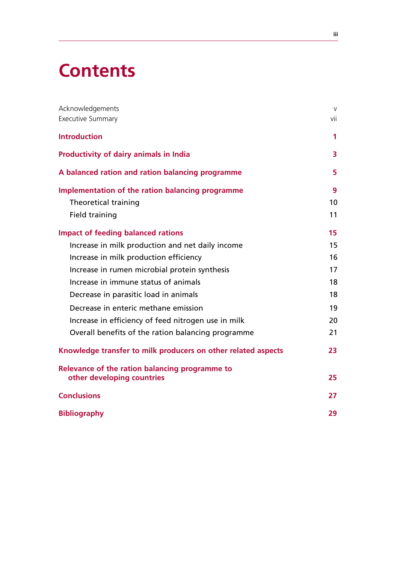# **Contents**

| Acknowledgements<br>Executive Summary                                        | $\vee$<br>vii |
|------------------------------------------------------------------------------|---------------|
| <b>Introduction</b>                                                          | 1             |
| <b>Productivity of dairy animals in India</b>                                | 3             |
| A balanced ration and ration balancing programme                             | 5             |
| Implementation of the ration balancing programme                             | 9             |
| Theoretical training                                                         | 10            |
| <b>Field training</b>                                                        | 11            |
| <b>Impact of feeding balanced rations</b>                                    | 15            |
| Increase in milk production and net daily income                             | 15            |
| Increase in milk production efficiency                                       | 16            |
| Increase in rumen microbial protein synthesis                                | 17            |
| Increase in immune status of animals                                         | 18            |
| Decrease in parasitic load in animals                                        | 18            |
| Decrease in enteric methane emission                                         | 19            |
| Increase in efficiency of feed nitrogen use in milk                          | 20            |
| Overall benefits of the ration balancing programme                           | 21            |
| Knowledge transfer to milk producers on other related aspects                | 23            |
| Relevance of the ration balancing programme to<br>other developing countries | 25            |
| <b>Conclusions</b>                                                           | 27            |
| <b>Bibliography</b>                                                          | 29            |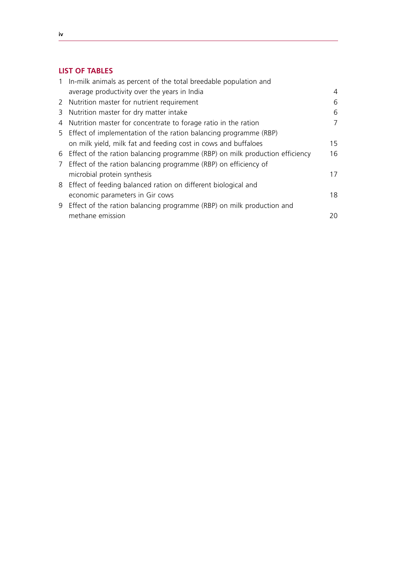#### **List of Tables**

| 1 In-milk animals as percent of the total breedable population and             |    |
|--------------------------------------------------------------------------------|----|
| average productivity over the years in India                                   | 4  |
| 2 Nutrition master for nutrient requirement                                    | 6  |
| 3 Nutrition master for dry matter intake                                       | 6  |
| 4 Nutrition master for concentrate to forage ratio in the ration               | 7  |
| 5 Effect of implementation of the ration balancing programme (RBP)             |    |
| on milk yield, milk fat and feeding cost in cows and buffaloes                 | 15 |
| 6 Effect of the ration balancing programme (RBP) on milk production efficiency | 16 |
| 7 Effect of the ration balancing programme (RBP) on efficiency of              |    |
| microbial protein synthesis                                                    | 17 |
| 8 Effect of feeding balanced ration on different biological and                |    |
| economic parameters in Gir cows                                                | 18 |
| 9 Effect of the ration balancing programme (RBP) on milk production and        |    |
| methane emission                                                               | 20 |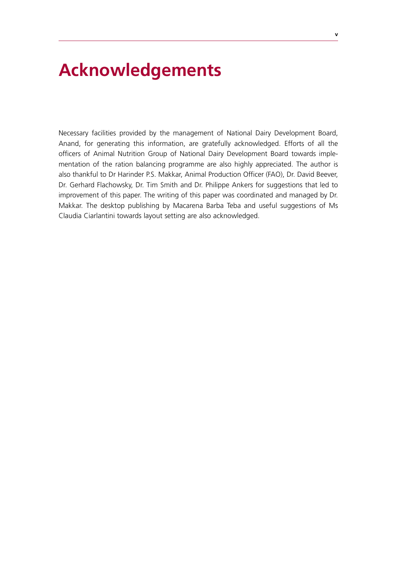# **Acknowledgements**

Necessary facilities provided by the management of National Dairy Development Board, Anand, for generating this information, are gratefully acknowledged. Efforts of all the officers of Animal Nutrition Group of National Dairy Development Board towards implementation of the ration balancing programme are also highly appreciated. The author is also thankful to Dr Harinder P.S. Makkar, Animal Production Officer (FAO), Dr. David Beever, Dr. Gerhard Flachowsky, Dr. Tim Smith and Dr. Philippe Ankers for suggestions that led to improvement of this paper. The writing of this paper was coordinated and managed by Dr. Makkar. The desktop publishing by Macarena Barba Teba and useful suggestions of Ms Claudia Ciarlantini towards layout setting are also acknowledged.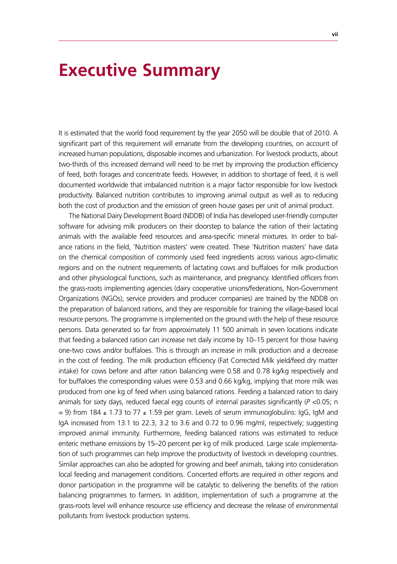### **Executive Summary**

It is estimated that the world food requirement by the year 2050 will be double that of 2010. A significant part of this requirement will emanate from the developing countries, on account of increased human populations, disposable incomes and urbanization. For livestock products, about two-thirds of this increased demand will need to be met by improving the production efficiency of feed, both forages and concentrate feeds. However, in addition to shortage of feed, it is well documented worldwide that imbalanced nutrition is a major factor responsible for low livestock productivity. Balanced nutrition contributes to improving animal output as well as to reducing both the cost of production and the emission of green house gases per unit of animal product.

The National Dairy Development Board (NDDB) of India has developed user-friendly computer software for advising milk producers on their doorstep to balance the ration of their lactating animals with the available feed resources and area-specific mineral mixtures. In order to balance rations in the field, 'Nutrition masters' were created. These 'Nutrition masters' have data on the chemical composition of commonly used feed ingredients across various agro-climatic regions and on the nutrient requirements of lactating cows and buffaloes for milk production and other physiological functions, such as maintenance, and pregnancy. Identified officers from the grass-roots implementing agencies (dairy cooperative unions/federations, Non-Government Organizations (NGOs), service providers and producer companies) are trained by the NDDB on the preparation of balanced rations, and they are responsible for training the village-based local resource persons. The programme is implemented on the ground with the help of these resource persons. Data generated so far from approximately 11 500 animals in seven locations indicate that feeding a balanced ration can increase net daily income by 10–15 percent for those having one-two cows and/or buffaloes. This is through an increase in milk production and a decrease in the cost of feeding. The milk production efficiency (Fat Corrected Milk yield/feed dry matter intake) for cows before and after ration balancing were 0.58 and 0.78 kg/kg respectively and for buffaloes the corresponding values were 0.53 and 0.66 kg/kg, implying that more milk was produced from one kg of feed when using balanced rations. Feeding a balanced ration to dairy animals for sixty days, reduced faecal egg counts of internal parasites significantly (P <0.05; n  $= 9$ ) from 184  $\pm$  1.73 to 77  $\pm$  1.59 per gram. Levels of serum immunoglobulins: IgG, IgM and IgA increased from 13.1 to 22.3, 3.2 to 3.6 and 0.72 to 0.96 mg/ml, respectively; suggesting improved animal immunity. Furthermore, feeding balanced rations was estimated to reduce enteric methane emissions by 15–20 percent per kg of milk produced. Large scale implementation of such programmes can help improve the productivity of livestock in developing countries. Similar approaches can also be adopted for growing and beef animals, taking into consideration local feeding and management conditions. Concerted efforts are required in other regions and donor participation in the programme will be catalytic to delivering the benefits of the ration balancing programmes to farmers. In addition, implementation of such a programme at the grass-roots level will enhance resource use efficiency and decrease the release of environmental pollutants from livestock production systems.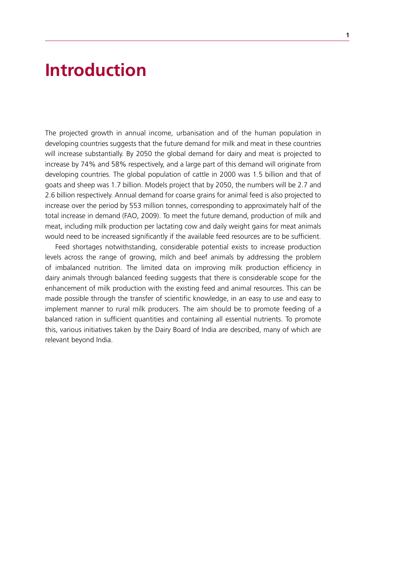### **Introduction**

The projected growth in annual income, urbanisation and of the human population in developing countries suggests that the future demand for milk and meat in these countries will increase substantially. By 2050 the global demand for dairy and meat is projected to increase by 74% and 58% respectively, and a large part of this demand will originate from developing countries. The global population of cattle in 2000 was 1.5 billion and that of goats and sheep was 1.7 billion. Models project that by 2050, the numbers will be 2.7 and 2.6 billion respectively. Annual demand for coarse grains for animal feed is also projected to increase over the period by 553 million tonnes, corresponding to approximately half of the total increase in demand (FAO, 2009). To meet the future demand, production of milk and meat, including milk production per lactating cow and daily weight gains for meat animals would need to be increased significantly if the available feed resources are to be sufficient.

Feed shortages notwithstanding, considerable potential exists to increase production levels across the range of growing, milch and beef animals by addressing the problem of imbalanced nutrition. The limited data on improving milk production efficiency in dairy animals through balanced feeding suggests that there is considerable scope for the enhancement of milk production with the existing feed and animal resources. This can be made possible through the transfer of scientific knowledge, in an easy to use and easy to implement manner to rural milk producers. The aim should be to promote feeding of a balanced ration in sufficient quantities and containing all essential nutrients. To promote this, various initiatives taken by the Dairy Board of India are described, many of which are relevant beyond India.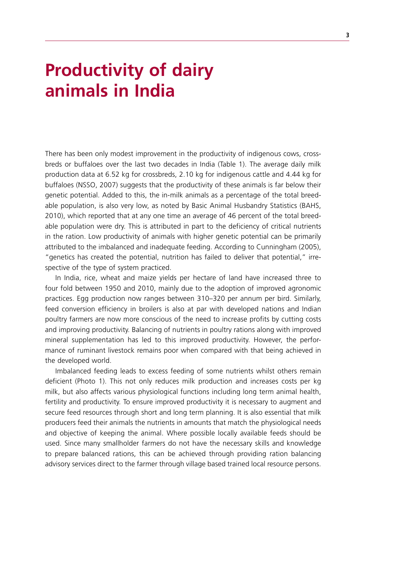# **Productivity of dairy animals in india**

There has been only modest improvement in the productivity of indigenous cows, crossbreds or buffaloes over the last two decades in India (Table 1). The average daily milk production data at 6.52 kg for crossbreds, 2.10 kg for indigenous cattle and 4.44 kg for buffaloes (NSSO, 2007) suggests that the productivity of these animals is far below their genetic potential. Added to this, the in-milk animals as a percentage of the total breedable population, is also very low, as noted by Basic Animal Husbandry Statistics (BAHS, 2010), which reported that at any one time an average of 46 percent of the total breedable population were dry. This is attributed in part to the deficiency of critical nutrients in the ration. Low productivity of animals with higher genetic potential can be primarily attributed to the imbalanced and inadequate feeding. According to Cunningham (2005), "genetics has created the potential, nutrition has failed to deliver that potential," irrespective of the type of system practiced.

In India, rice, wheat and maize yields per hectare of land have increased three to four fold between 1950 and 2010, mainly due to the adoption of improved agronomic practices. Egg production now ranges between 310–320 per annum per bird. Similarly, feed conversion efficiency in broilers is also at par with developed nations and Indian poultry farmers are now more conscious of the need to increase profits by cutting costs and improving productivity. Balancing of nutrients in poultry rations along with improved mineral supplementation has led to this improved productivity. However, the performance of ruminant livestock remains poor when compared with that being achieved in the developed world.

Imbalanced feeding leads to excess feeding of some nutrients whilst others remain deficient (Photo 1). This not only reduces milk production and increases costs per kg milk, but also affects various physiological functions including long term animal health, fertility and productivity. To ensure improved productivity it is necessary to augment and secure feed resources through short and long term planning. It is also essential that milk producers feed their animals the nutrients in amounts that match the physiological needs and objective of keeping the animal. Where possible locally available feeds should be used. Since many smallholder farmers do not have the necessary skills and knowledge to prepare balanced rations, this can be achieved through providing ration balancing advisory services direct to the farmer through village based trained local resource persons.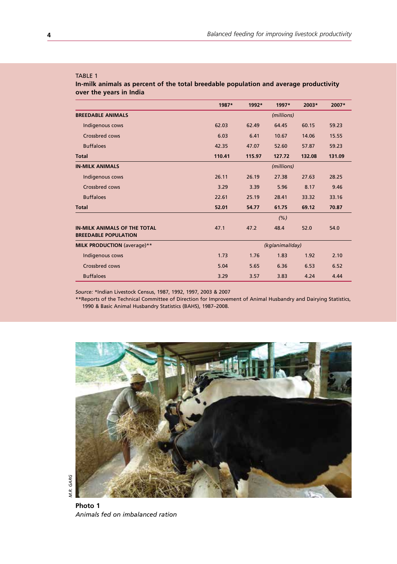#### TABLE 1

**In-milk animals as percent of the total breedable population and average productivity over the years in India**

|                                                                    | 1987*           | 1992*  | 1997*  | 2003*  | 2007*  |  |
|--------------------------------------------------------------------|-----------------|--------|--------|--------|--------|--|
| <b>BREEDABLE ANIMALS</b>                                           | (millions)      |        |        |        |        |  |
| Indigenous cows                                                    | 62.03           | 62.49  | 64.45  | 60.15  | 59.23  |  |
| Crossbred cows                                                     | 6.03            | 6.41   | 10.67  | 14.06  | 15.55  |  |
| <b>Buffaloes</b>                                                   | 42.35           | 47.07  | 52.60  | 57.87  | 59.23  |  |
| <b>Total</b>                                                       | 110.41          | 115.97 | 127.72 | 132.08 | 131.09 |  |
| <b>IN-MILK ANIMALS</b>                                             | (millions)      |        |        |        |        |  |
| Indigenous cows                                                    | 26.11           | 26.19  | 27.38  | 27.63  | 28.25  |  |
| Crossbred cows                                                     | 3.29            | 3.39   | 5.96   | 8.17   | 9.46   |  |
| <b>Buffaloes</b>                                                   | 22.61           | 25.19  | 28.41  | 33.32  | 33.16  |  |
| <b>Total</b>                                                       | 52.01           | 54.77  | 61.75  | 69.12  | 70.87  |  |
|                                                                    |                 |        | (% )   |        |        |  |
| <b>IN-MILK ANIMALS OF THE TOTAL</b><br><b>BREEDABLE POPULATION</b> | 47.1            | 47.2   | 48.4   | 52.0   | 54.0   |  |
| MILK PRODUCTION (average)**                                        | (kg/animal/day) |        |        |        |        |  |
| Indigenous cows                                                    | 1.73            | 1.76   | 1.83   | 1.92   | 2.10   |  |
| Crossbred cows                                                     | 5.04            | 5.65   | 6.36   | 6.53   | 6.52   |  |
| <b>Buffaloes</b>                                                   | 3.29            | 3.57   | 3.83   | 4.24   | 4.44   |  |

*Source:* \*Indian Livestock Census, 1987, 1992, 1997, 2003 & 2007

\*\*Reports of the Technical Committee of Direction for Improvement of Animal Husbandry and Dairying Statistics, 1990 & Basic Animal Husbandry Statistics (BAHS), 1987–2008.



**Photo 1** *Animals fed on imbalanced ration*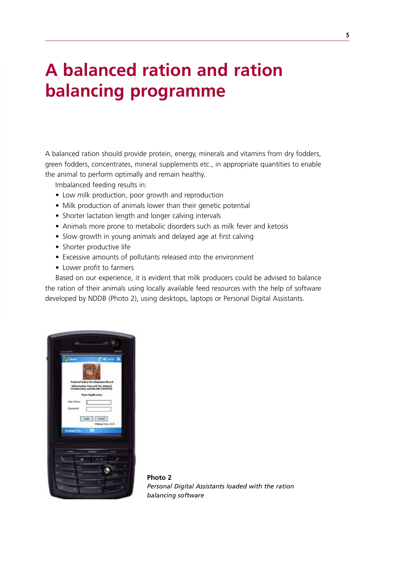# **A balanced ration and ration balancing programme**

A balanced ration should provide protein, energy, minerals and vitamins from dry fodders, green fodders, concentrates, mineral supplements etc., in appropriate quantities to enable the animal to perform optimally and remain healthy.

Imbalanced feeding results in:

- Low milk production, poor growth and reproduction
- Milk production of animals lower than their genetic potential
- Shorter lactation length and longer calving intervals
- Animals more prone to metabolic disorders such as milk fever and ketosis
- Slow growth in young animals and delayed age at first calving
- Shorter productive life
- Excessive amounts of pollutants released into the environment
- • Lower profit to farmers

Based on our experience, it is evident that milk producers could be advised to balance the ration of their animals using locally available feed resources with the help of software developed by NDDB (Photo 2), using desktops, laptops or Personal Digital Assistants.



**Photo 2** *Personal Digital Assistants loaded with the ration balancing software*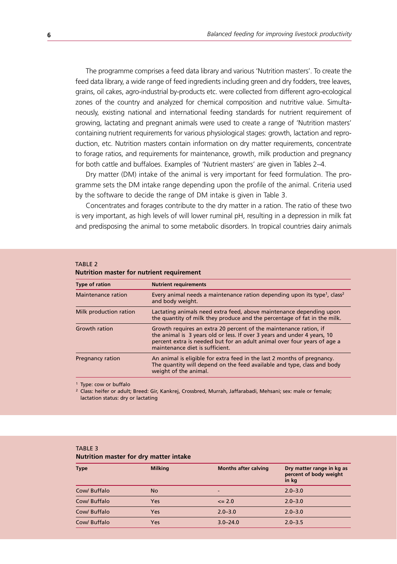The programme comprises a feed data library and various 'Nutrition masters'. To create the feed data library, a wide range of feed ingredients including green and dry fodders, tree leaves, grains, oil cakes, agro-industrial by-products etc. were collected from different agro-ecological zones of the country and analyzed for chemical composition and nutritive value. Simultaneously, existing national and international feeding standards for nutrient requirement of growing, lactating and pregnant animals were used to create a range of 'Nutrition masters' containing nutrient requirements for various physiological stages: growth, lactation and reproduction, etc. Nutrition masters contain information on dry matter requirements, concentrate to forage ratios, and requirements for maintenance, growth, milk production and pregnancy for both cattle and buffaloes. Examples of 'Nutrient masters' are given in Tables 2–4.

Dry matter (DM) intake of the animal is very important for feed formulation. The programme sets the DM intake range depending upon the profile of the animal. Criteria used by the software to decide the range of DM intake is given in Table 3.

Concentrates and forages contribute to the dry matter in a ration. The ratio of these two is very important, as high levels of will lower ruminal pH, resulting in a depression in milk fat and predisposing the animal to some metabolic disorders. In tropical countries dairy animals

#### TARI F 2

#### **Nutrition master for nutrient requirement**

| <b>Type of ration</b>   | <b>Nutrient requirements</b>                                                                                                                                                                                                                                 |
|-------------------------|--------------------------------------------------------------------------------------------------------------------------------------------------------------------------------------------------------------------------------------------------------------|
| Maintenance ration      | Every animal needs a maintenance ration depending upon its type <sup>1</sup> , class <sup>2</sup><br>and body weight.                                                                                                                                        |
| Milk production ration  | Lactating animals need extra feed, above maintenance depending upon<br>the quantity of milk they produce and the percentage of fat in the milk.                                                                                                              |
| Growth ration           | Growth requires an extra 20 percent of the maintenance ration, if<br>the animal is 3 years old or less. If over 3 years and under 4 years, 10<br>percent extra is needed but for an adult animal over four years of age a<br>maintenance diet is sufficient. |
| <b>Pregnancy ration</b> | An animal is eligible for extra feed in the last 2 months of pregnancy.<br>The quantity will depend on the feed available and type, class and body<br>weight of the animal.                                                                                  |

<sup>1</sup> Type: cow or buffalo

<sup>2</sup> Class: heifer or adult; Breed: Gir, Kankrej, Crossbred, Murrah, Jaffarabadi, Mehsani; sex: male or female; lactation status: dry or lactating

#### TABLE 3 **Nutrition master for dry matter intake**

| <b>Type</b>  | <b>Milking</b> | <b>Months after calving</b> | Dry matter range in kg as<br>percent of body weight<br>in kg |
|--------------|----------------|-----------------------------|--------------------------------------------------------------|
| Cow/ Buffalo | <b>No</b>      | -                           | $2.0 - 3.0$                                                  |
| Cow/ Buffalo | Yes            | $\leq$ 2.0                  | $2.0 - 3.0$                                                  |
| Cow/ Buffalo | Yes            | $2.0 - 3.0$                 | $2.0 - 3.0$                                                  |
| Cow/ Buffalo | Yes            | $3.0 - 24.0$                | $2.0 - 3.5$                                                  |
|              |                |                             |                                                              |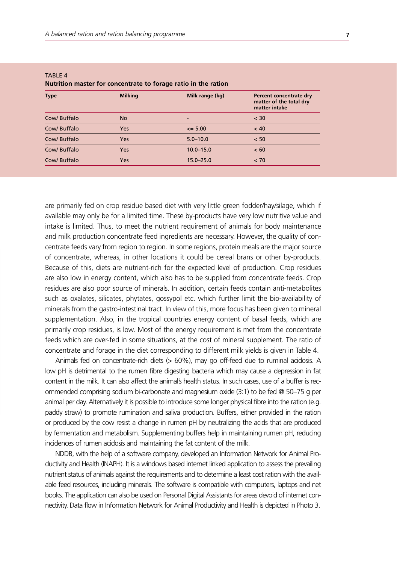| <b>Type</b>  | <b>Milking</b> | Milk range (kg) | Percent concentrate dry<br>matter of the total dry<br>matter intake |
|--------------|----------------|-----------------|---------------------------------------------------------------------|
| Cow/ Buffalo | <b>No</b>      | -               | $<$ 30                                                              |
| Cow/ Buffalo | Yes            | $\leq$ 5.00     | < 40                                                                |
| Cow/ Buffalo | Yes            | $5.0 - 10.0$    | < 50                                                                |
| Cow/ Buffalo | Yes            | $10.0 - 15.0$   | < 60                                                                |
| Cow/ Buffalo | Yes            | $15.0 - 25.0$   | < 70                                                                |
|              |                |                 |                                                                     |

#### **TABLE 4 Nutrition master for concentrate to forage ratio in the ration**

are primarily fed on crop residue based diet with very little green fodder/hay/silage, which if available may only be for a limited time. These by-products have very low nutritive value and intake is limited. Thus, to meet the nutrient requirement of animals for body maintenance and milk production concentrate feed ingredients are necessary. However, the quality of concentrate feeds vary from region to region. In some regions, protein meals are the major source of concentrate, whereas, in other locations it could be cereal brans or other by-products. Because of this, diets are nutrient-rich for the expected level of production. Crop residues are also low in energy content, which also has to be supplied from concentrate feeds. Crop residues are also poor source of minerals. In addition, certain feeds contain anti-metabolites such as oxalates, silicates, phytates, gossypol etc. which further limit the bio-availability of minerals from the gastro-intestinal tract. In view of this, more focus has been given to mineral supplementation. Also, in the tropical countries energy content of basal feeds, which are primarily crop residues, is low. Most of the energy requirement is met from the concentrate feeds which are over-fed in some situations, at the cost of mineral supplement. The ratio of concentrate and forage in the diet corresponding to different milk yields is given in Table 4.

Animals fed on concentrate-rich diets (> 60%), may go off-feed due to ruminal acidosis. A low pH is detrimental to the rumen fibre digesting bacteria which may cause a depression in fat content in the milk. It can also affect the animal's health status. In such cases, use of a buffer is recommended comprising sodium bi-carbonate and magnesium oxide (3:1) to be fed @ 50–75 g per animal per day. Alternatively it is possible to introduce some longer physical fibre into the ration (e.g. paddy straw) to promote rumination and saliva production. Buffers, either provided in the ration or produced by the cow resist a change in rumen pH by neutralizing the acids that are produced by fermentation and metabolism. Supplementing buffers help in maintaining rumen pH, reducing incidences of rumen acidosis and maintaining the fat content of the milk.

NDDB, with the help of a software company, developed an Information Network for Animal Productivity and Health (INAPH). It is a windows based internet linked application to assess the prevailing nutrient status of animals against the requirements and to determine a least cost ration with the available feed resources, including minerals. The software is compatible with computers, laptops and net books. The application can also be used on Personal Digital Assistants for areas devoid of internet connectivity. Data flow in Information Network for Animal Productivity and Health is depicted in Photo 3.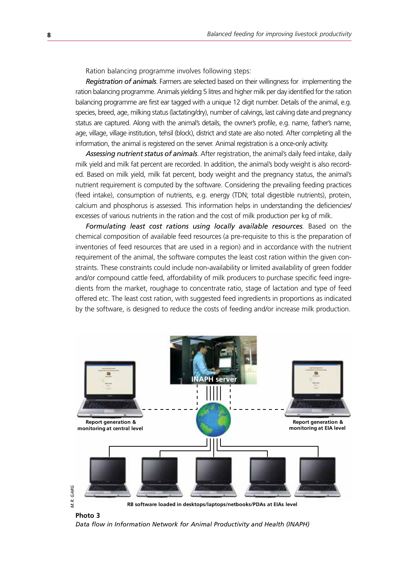Ration balancing programme involves following steps:

*Registration of animals.* Farmers are selected based on their willingness for implementing the ration balancing programme. Animals yielding 5 litres and higher milk per day identified for the ration balancing programme are first ear tagged with a unique 12 digit number. Details of the animal, e.g. species, breed, age, milking status (lactating/dry), number of calvings, last calving date and pregnancy status are captured. Along with the animal's details, the owner's profile, e.g. name, father's name, age, village, village institution, tehsil (block), district and state are also noted. After completing all the information, the animal is registered on the server. Animal registration is a once-only activity.

*Assessing nutrient status of animals.* After registration, the animal's daily feed intake, daily milk yield and milk fat percent are recorded. In addition, the animal's body weight is also recorded. Based on milk yield, milk fat percent, body weight and the pregnancy status, the animal's nutrient requirement is computed by the software. Considering the prevailing feeding practices (feed intake), consumption of nutrients, e.g. energy (TDN; total digestible nutrients), protein, calcium and phosphorus is assessed. This information helps in understanding the deficiencies/ excesses of various nutrients in the ration and the cost of milk production per kg of milk.

*Formulating least cost rations using locally available resources.* Based on the chemical composition of available feed resources (a pre-requisite to this is the preparation of inventories of feed resources that are used in a region) and in accordance with the nutrient requirement of the animal, the software computes the least cost ration within the given constraints. These constraints could include non-availability or limited availability of green fodder and/or compound cattle feed, affordability of milk producers to purchase specific feed ingredients from the market, roughage to concentrate ratio, stage of lactation and type of feed offered etc. The least cost ration, with suggested feed ingredients in proportions as indicated by the software, is designed to reduce the costs of feeding and/or increase milk production.



**Photo 3**

*Data flow in Information Network for Animal Productivity and Health (INAPH)*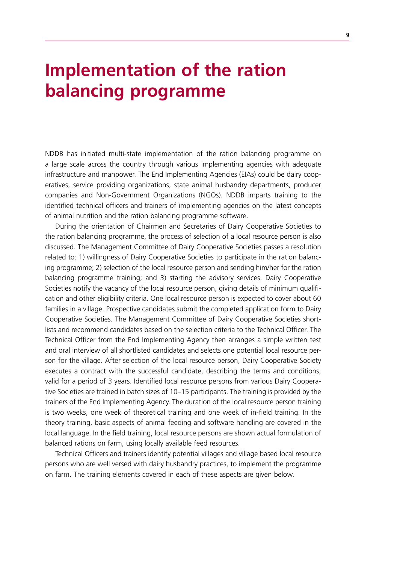# **Implementation of the ration balancing programme**

NDDB has initiated multi-state implementation of the ration balancing programme on a large scale across the country through various implementing agencies with adequate infrastructure and manpower. The End Implementing Agencies (EIAs) could be dairy cooperatives, service providing organizations, state animal husbandry departments, producer companies and Non-Government Organizations (NGOs). NDDB imparts training to the identified technical officers and trainers of implementing agencies on the latest concepts of animal nutrition and the ration balancing programme software.

During the orientation of Chairmen and Secretaries of Dairy Cooperative Societies to the ration balancing programme, the process of selection of a local resource person is also discussed. The Management Committee of Dairy Cooperative Societies passes a resolution related to: 1) willingness of Dairy Cooperative Societies to participate in the ration balancing programme; 2) selection of the local resource person and sending him/her for the ration balancing programme training; and 3) starting the advisory services. Dairy Cooperative Societies notify the vacancy of the local resource person, giving details of minimum qualification and other eligibility criteria. One local resource person is expected to cover about 60 families in a village. Prospective candidates submit the completed application form to Dairy Cooperative Societies. The Management Committee of Dairy Cooperative Societies shortlists and recommend candidates based on the selection criteria to the Technical Officer. The Technical Officer from the End Implementing Agency then arranges a simple written test and oral interview of all shortlisted candidates and selects one potential local resource person for the village. After selection of the local resource person, Dairy Cooperative Society executes a contract with the successful candidate, describing the terms and conditions, valid for a period of 3 years. Identified local resource persons from various Dairy Cooperative Societies are trained in batch sizes of 10–15 participants. The training is provided by the trainers of the End Implementing Agency. The duration of the local resource person training is two weeks, one week of theoretical training and one week of in-field training. In the theory training, basic aspects of animal feeding and software handling are covered in the local language. In the field training, local resource persons are shown actual formulation of balanced rations on farm, using locally available feed resources.

Technical Officers and trainers identify potential villages and village based local resource persons who are well versed with dairy husbandry practices, to implement the programme on farm. The training elements covered in each of these aspects are given below.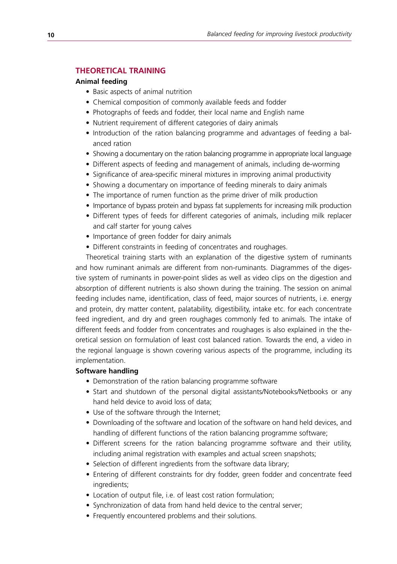#### **Theoretical training**

#### **Animal feeding**

- Basic aspects of animal nutrition
- Chemical composition of commonly available feeds and fodder
- Photographs of feeds and fodder, their local name and English name
- Nutrient requirement of different categories of dairy animals
- Introduction of the ration balancing programme and advantages of feeding a balanced ration
- Showing a documentary on the ration balancing programme in appropriate local language
- Different aspects of feeding and management of animals, including de-worming
- Significance of area-specific mineral mixtures in improving animal productivity
- Showing a documentary on importance of feeding minerals to dairy animals
- The importance of rumen function as the prime driver of milk production
- Importance of bypass protein and bypass fat supplements for increasing milk production
- Different types of feeds for different categories of animals, including milk replacer and calf starter for young calves
- Importance of green fodder for dairy animals
- Different constraints in feeding of concentrates and roughages.

Theoretical training starts with an explanation of the digestive system of ruminants and how ruminant animals are different from non-ruminants. Diagrammes of the digestive system of ruminants in power-point slides as well as video clips on the digestion and absorption of different nutrients is also shown during the training. The session on animal feeding includes name, identification, class of feed, major sources of nutrients, i.e. energy and protein, dry matter content, palatability, digestibility, intake etc. for each concentrate feed ingredient, and dry and green roughages commonly fed to animals. The intake of different feeds and fodder from concentrates and roughages is also explained in the theoretical session on formulation of least cost balanced ration. Towards the end, a video in the regional language is shown covering various aspects of the programme, including its implementation.

#### **Software handling**

- Demonstration of the ration balancing programme software
- Start and shutdown of the personal digital assistants/Notebooks/Netbooks or any hand held device to avoid loss of data;
- Use of the software through the Internet;
- Downloading of the software and location of the software on hand held devices, and handling of different functions of the ration balancing programme software;
- Different screens for the ration balancing programme software and their utility, including animal registration with examples and actual screen snapshots;
- Selection of different ingredients from the software data library;
- Entering of different constraints for dry fodder, green fodder and concentrate feed ingredients;
- Location of output file, i.e. of least cost ration formulation;
- Synchronization of data from hand held device to the central server;
- Frequently encountered problems and their solutions.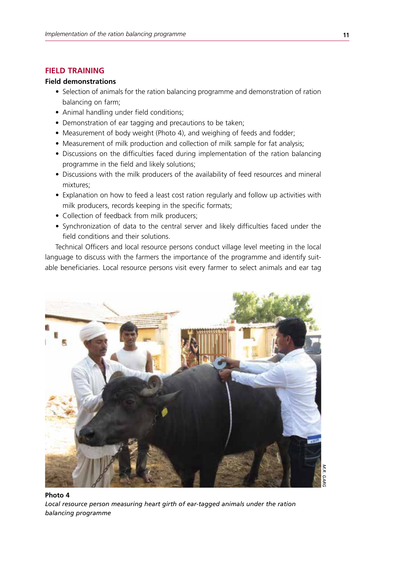#### **FIFID TRAINING**

#### **Field demonstrations**

- Selection of animals for the ration balancing programme and demonstration of ration balancing on farm;
- Animal handling under field conditions;
- Demonstration of ear tagging and precautions to be taken;
- Measurement of body weight (Photo 4), and weighing of feeds and fodder;
- Measurement of milk production and collection of milk sample for fat analysis:
- Discussions on the difficulties faced during implementation of the ration balancing programme in the field and likely solutions;
- Discussions with the milk producers of the availability of feed resources and mineral mixtures;
- Explanation on how to feed a least cost ration regularly and follow up activities with milk producers, records keeping in the specific formats;
- Collection of feedback from milk producers:
- Synchronization of data to the central server and likely difficulties faced under the field conditions and their solutions.

Technical Officers and local resource persons conduct village level meeting in the local language to discuss with the farmers the importance of the programme and identify suitable beneficiaries. Local resource persons visit every farmer to select animals and ear tag



**Photo 4** *Local resource person measuring heart girth of ear-tagged animals under the ration balancing programme*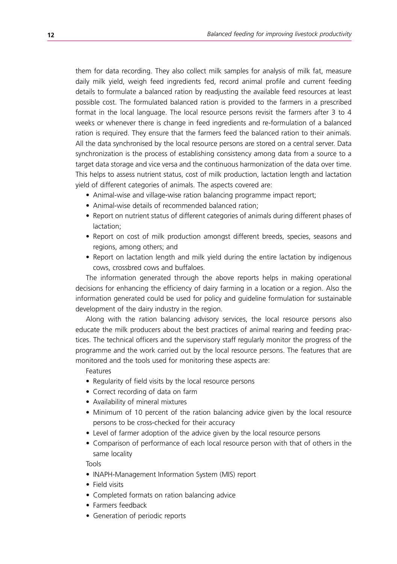them for data recording. They also collect milk samples for analysis of milk fat, measure daily milk yield, weigh feed ingredients fed, record animal profile and current feeding details to formulate a balanced ration by readjusting the available feed resources at least possible cost. The formulated balanced ration is provided to the farmers in a prescribed format in the local language. The local resource persons revisit the farmers after 3 to 4 weeks or whenever there is change in feed ingredients and re-formulation of a balanced ration is required. They ensure that the farmers feed the balanced ration to their animals. All the data synchronised by the local resource persons are stored on a central server. Data synchronization is the process of establishing consistency among data from a source to a target data storage and vice versa and the continuous harmonization of the data over time. This helps to assess nutrient status, cost of milk production, lactation length and lactation yield of different categories of animals. The aspects covered are:

- Animal-wise and village-wise ration balancing programme impact report;
- Animal-wise details of recommended balanced ration;
- Report on nutrient status of different categories of animals during different phases of lactation;
- Report on cost of milk production amongst different breeds, species, seasons and regions, among others; and
- Report on lactation length and milk yield during the entire lactation by indigenous cows, crossbred cows and buffaloes.

The information generated through the above reports helps in making operational decisions for enhancing the efficiency of dairy farming in a location or a region. Also the information generated could be used for policy and guideline formulation for sustainable development of the dairy industry in the region.

Along with the ration balancing advisory services, the local resource persons also educate the milk producers about the best practices of animal rearing and feeding practices. The technical officers and the supervisory staff regularly monitor the progress of the programme and the work carried out by the local resource persons. The features that are monitored and the tools used for monitoring these aspects are:

#### Features

- Regularity of field visits by the local resource persons
- Correct recording of data on farm
- Availability of mineral mixtures
- Minimum of 10 percent of the ration balancing advice given by the local resource persons to be cross-checked for their accuracy
- Level of farmer adoption of the advice given by the local resource persons
- Comparison of performance of each local resource person with that of others in the same locality

Tools

- INAPH-Management Information System (MIS) report
- Field visits
- • Completed formats on ration balancing advice
- Farmers feedback
- Generation of periodic reports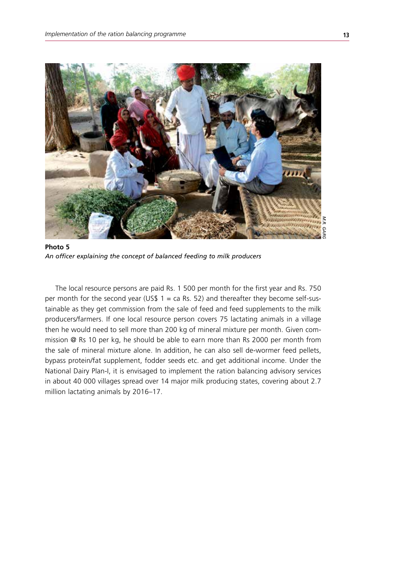

**Photo 5** *An officer explaining the concept of balanced feeding to milk producers*

The local resource persons are paid Rs. 1 500 per month for the first year and Rs. 750 per month for the second year (US\$  $1 = ca$  Rs. 52) and thereafter they become self-sustainable as they get commission from the sale of feed and feed supplements to the milk producers/farmers. If one local resource person covers 75 lactating animals in a village then he would need to sell more than 200 kg of mineral mixture per month. Given commission @ Rs 10 per kg, he should be able to earn more than Rs 2000 per month from the sale of mineral mixture alone. In addition, he can also sell de-wormer feed pellets, bypass protein/fat supplement, fodder seeds etc. and get additional income. Under the National Dairy Plan-I, it is envisaged to implement the ration balancing advisory services in about 40 000 villages spread over 14 major milk producing states, covering about 2.7 million lactating animals by 2016–17.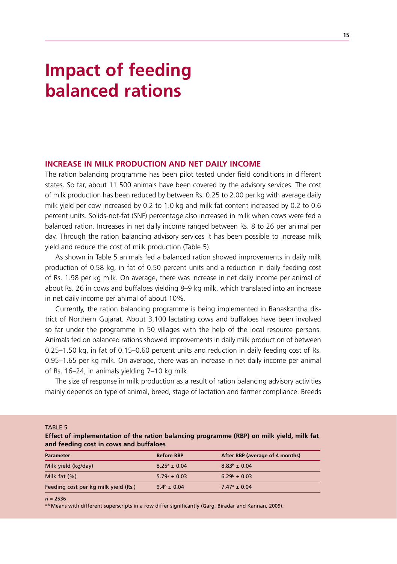# **Impact of feeding balanced rations**

#### **increase in milk production and net daily income**

The ration balancing programme has been pilot tested under field conditions in different states. So far, about 11 500 animals have been covered by the advisory services. The cost of milk production has been reduced by between Rs. 0.25 to 2.00 per kg with average daily milk yield per cow increased by 0.2 to 1.0 kg and milk fat content increased by 0.2 to 0.6 percent units. Solids-not-fat (SNF) percentage also increased in milk when cows were fed a balanced ration. Increases in net daily income ranged between Rs. 8 to 26 per animal per day. Through the ration balancing advisory services it has been possible to increase milk yield and reduce the cost of milk production (Table 5).

As shown in Table 5 animals fed a balanced ration showed improvements in daily milk production of 0.58 kg, in fat of 0.50 percent units and a reduction in daily feeding cost of Rs. 1.98 per kg milk. On average, there was increase in net daily income per animal of about Rs. 26 in cows and buffaloes yielding 8–9 kg milk, which translated into an increase in net daily income per animal of about 10%.

Currently, the ration balancing programme is being implemented in Banaskantha district of Northern Gujarat. About 3,100 lactating cows and buffaloes have been involved so far under the programme in 50 villages with the help of the local resource persons. Animals fed on balanced rations showed improvements in daily milk production of between 0.25–1.50 kg, in fat of 0.15–0.60 percent units and reduction in daily feeding cost of Rs. 0.95–1.65 per kg milk. On average, there was an increase in net daily income per animal of Rs. 16–24, in animals yielding 7–10 kg milk.

The size of response in milk production as a result of ration balancing advisory activities mainly depends on type of animal, breed, stage of lactation and farmer compliance. Breeds

TARIF<sub>5</sub>

**Effect of implementation of the ration balancing programme (RBP) on milk yield, milk fat and feeding cost in cows and buffaloes**

| <b>Parameter</b>                     | <b>Before RBP</b>       | After RBP (average of 4 months) |
|--------------------------------------|-------------------------|---------------------------------|
| Milk yield (kg/day)                  | $8.25^{\circ} \pm 0.04$ | $8.83^{b} \pm 0.04$             |
| Milk fat $(\%)$                      | $5.79^{\circ} \pm 0.03$ | $6.29^b \pm 0.03$               |
| Feeding cost per kg milk yield (Rs.) | $9.4^{\rm b} \pm 0.04$  | $7.47^{\circ} \pm 0.04$         |
|                                      |                         |                                 |

*n* = 2536

a,b Means with different superscripts in a row differ significantly (Garg, Biradar and Kannan, 2009).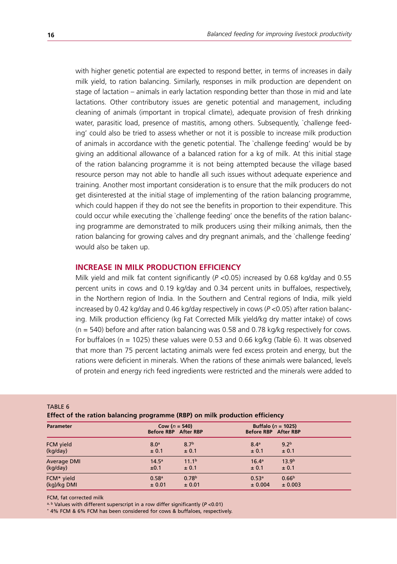with higher genetic potential are expected to respond better, in terms of increases in daily milk yield, to ration balancing. Similarly, responses in milk production are dependent on stage of lactation – animals in early lactation responding better than those in mid and late lactations. Other contributory issues are genetic potential and management, including cleaning of animals (important in tropical climate), adequate provision of fresh drinking water, parasitic load, presence of mastitis, among others. Subsequently, `challenge feeding' could also be tried to assess whether or not it is possible to increase milk production of animals in accordance with the genetic potential. The `challenge feeding' would be by giving an additional allowance of a balanced ration for a kg of milk. At this initial stage of the ration balancing programme it is not being attempted because the village based resource person may not able to handle all such issues without adequate experience and training. Another most important consideration is to ensure that the milk producers do not get disinterested at the initial stage of implementing of the ration balancing programme, which could happen if they do not see the benefits in proportion to their expenditure. This could occur while executing the `challenge feeding' once the benefits of the ration balancing programme are demonstrated to milk producers using their milking animals, then the ration balancing for growing calves and dry pregnant animals, and the `challenge feeding' would also be taken up.

#### **increase in milk production efficiency**

Milk yield and milk fat content significantly ( $P < 0.05$ ) increased by 0.68 kg/day and 0.55 percent units in cows and 0.19 kg/day and 0.34 percent units in buffaloes, respectively, in the Northern region of India. In the Southern and Central regions of India, milk yield increased by 0.42 kg/day and 0.46 kg/day respectively in cows (*P* <0.05) after ration balancing. Milk production efficiency (kg Fat Corrected Milk yield/kg dry matter intake) of cows  $(n = 540)$  before and after ration balancing was 0.58 and 0.78 kg/kg respectively for cows. For buffaloes (n = 1025) these values were 0.53 and 0.66 kg/kg (Table 6). It was observed that more than 75 percent lactating animals were fed excess protein and energy, but the rations were deficient in minerals. When the rations of these animals were balanced, levels of protein and energy rich feed ingredients were restricted and the minerals were added to

| Effect of the ration balancing programme (RBP) on milk production efficiency |                                           |                   |                                                |                   |  |  |
|------------------------------------------------------------------------------|-------------------------------------------|-------------------|------------------------------------------------|-------------------|--|--|
| <b>Parameter</b>                                                             | Cow ( $n = 540$ )<br>Before RBP After RBP |                   | Buffalo ( $n = 1025$ )<br>Before RBP After RBP |                   |  |  |
| FCM yield                                                                    | 8.0 <sup>a</sup>                          | 8.7 <sup>b</sup>  | 8.4 <sup>a</sup>                               | 9.2 <sup>b</sup>  |  |  |
| (kg/day)                                                                     | ± 0.1                                     | ± 0.1             | ± 0.1                                          | ± 0.1             |  |  |
| Average DMI                                                                  | 14.5 <sup>a</sup>                         | 11.1 <sup>b</sup> | 16.4 <sup>a</sup>                              | 13.9 <sup>b</sup> |  |  |
| (kg/day)                                                                     | ±0.1                                      | ± 0.1             | ± 0.1                                          | ± 0.1             |  |  |
| FCM* yield                                                                   | 0.58 <sup>a</sup>                         | 0.78 <sup>b</sup> | 0.53 <sup>a</sup>                              | 0.66 <sup>b</sup> |  |  |
| (kg)/kg DMI                                                                  | ± 0.01                                    | ± 0.01            | ± 0.004                                        | ± 0.003           |  |  |

TABLE 6

FCM, fat corrected milk<br>a, b Values with different superscript in a row differ significantly (P < 0.01)

\* 4% FCM & 6% FCM has been considered for cows & buffaloes, respectively.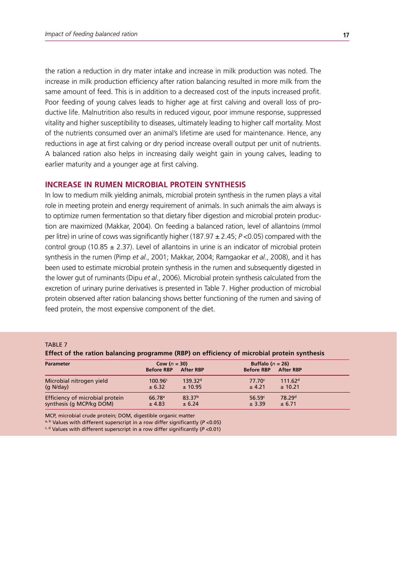the ration a reduction in dry mater intake and increase in milk production was noted. The increase in milk production efficiency after ration balancing resulted in more milk from the same amount of feed. This is in addition to a decreased cost of the inputs increased profit. Poor feeding of young calves leads to higher age at first calving and overall loss of productive life. Malnutrition also results in reduced vigour, poor immune response, suppressed vitality and higher susceptibility to diseases, ultimately leading to higher calf mortality. Most of the nutrients consumed over an animal's lifetime are used for maintenance. Hence, any reductions in age at first calving or dry period increase overall output per unit of nutrients. A balanced ration also helps in increasing daily weight gain in young calves, leading to earlier maturity and a younger age at first calving.

#### **increase in rumen microbial protein synthesis**

In low to medium milk yielding animals, microbial protein synthesis in the rumen plays a vital role in meeting protein and energy requirement of animals. In such animals the aim always is to optimize rumen fermentation so that dietary fiber digestion and microbial protein production are maximized (Makkar, 2004). On feeding a balanced ration, level of allantoins (mmol per litre) in urine of cows was significantly higher (187.97 ± 2.45; *P* <0.05) compared with the control group (10.85  $\pm$  2.37). Level of allantoins in urine is an indicator of microbial protein synthesis in the rumen (Pimp *et al*., 2001; Makkar, 2004; Ramgaokar *et al*., 2008), and it has been used to estimate microbial protein synthesis in the rumen and subsequently digested in the lower gut of ruminants (Dipu *et al*., 2006). Microbial protein synthesis calculated from the excretion of urinary purine derivatives is presented in Table 7. Higher production of microbial protein observed after ration balancing shows better functioning of the rumen and saving of feed protein, the most expensive component of the diet.

#### TABLE<sub>7</sub>

|  | Effect of the ration balancing programme (RBP) on efficiency of microbial protein synthesis |  |  |
|--|---------------------------------------------------------------------------------------------|--|--|
|  |                                                                                             |  |  |

| <b>Parameter</b>                | Cow $(n = 30)$<br><b>Before RBP</b> | <b>After RBP</b>    | Buffalo ( $n = 26$ )<br><b>Before RBP</b> | <b>After RBP</b>    |
|---------------------------------|-------------------------------------|---------------------|-------------------------------------------|---------------------|
| Microbial nitrogen yield        | 100.96c                             | 139.32 <sup>d</sup> | $77.70^{\circ}$                           | 111.62 <sup>d</sup> |
| $(q$ N/day)                     | ± 6.32                              | ± 10.95             | ± 4.21                                    | ± 10.21             |
| Efficiency of microbial protein | 66.78 <sup>a</sup>                  | 83.37 <sup>b</sup>  | 56.59c                                    | 78.29 <sup>d</sup>  |
| synthesis (q MCP/kg DOM)        | ± 4.83                              | ± 6.24              | ± 3.39                                    | ± 6.71              |

MCP, microbial crude protein; DOM, digestible organic matter

a, b Values with different superscript in a row differ significantly (*P* <0.05)

c, d Values with different superscript in a row differ significantly (*P* <0.01)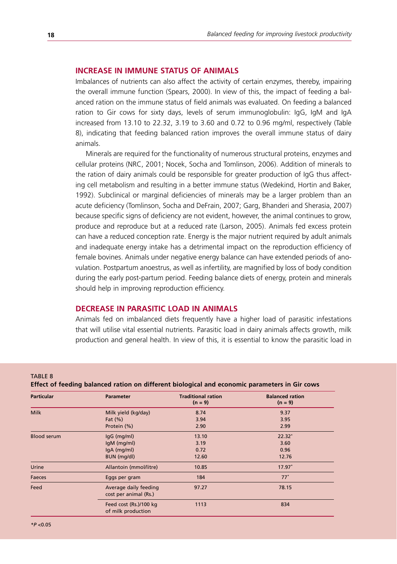#### **increase in immune status of animals**

Imbalances of nutrients can also affect the activity of certain enzymes, thereby, impairing the overall immune function (Spears, 2000). In view of this, the impact of feeding a balanced ration on the immune status of field animals was evaluated. On feeding a balanced ration to Gir cows for sixty days, levels of serum immunoglobulin: IgG, IgM and IgA increased from 13.10 to 22.32, 3.19 to 3.60 and 0.72 to 0.96 mg/ml, respectively (Table 8), indicating that feeding balanced ration improves the overall immune status of dairy animals.

Minerals are required for the functionality of numerous structural proteins, enzymes and cellular proteins (NRC, 2001; Nocek, Socha and Tomlinson, 2006). Addition of minerals to the ration of dairy animals could be responsible for greater production of IgG thus affecting cell metabolism and resulting in a better immune status (Wedekind, Hortin and Baker, 1992). Subclinical or marginal deficiencies of minerals may be a larger problem than an acute deficiency (Tomlinson, Socha and DeFrain, 2007; Garg, Bhanderi and Sherasia, 2007) because specific signs of deficiency are not evident, however, the animal continues to grow, produce and reproduce but at a reduced rate (Larson, 2005). Animals fed excess protein can have a reduced conception rate. Energy is the major nutrient required by adult animals and inadequate energy intake has a detrimental impact on the reproduction efficiency of female bovines. Animals under negative energy balance can have extended periods of anovulation. Postpartum anoestrus, as well as infertility, are magnified by loss of body condition during the early post-partum period. Feeding balance diets of energy, protein and minerals should help in improving reproduction efficiency.

#### **decrease in parasitic load in animals**

Animals fed on imbalanced diets frequently have a higher load of parasitic infestations that will utilise vital essential nutrients. Parasitic load in dairy animals affects growth, milk production and general health. In view of this, it is essential to know the parasitic load in

**TABLE 8** 

**Effect of feeding balanced ration on different biological and economic parameters in Gir cows**

| <b>Particular</b>  | <b>Parameter</b>                               | <b>Traditional ration</b><br>$(n = 9)$ | <b>Balanced ration</b><br>$(n = 9)$ |
|--------------------|------------------------------------------------|----------------------------------------|-------------------------------------|
| <b>Milk</b>        | Milk yield (kg/day)                            | 8.74                                   | 9.37                                |
|                    | Fat $(\%)$                                     | 3.94                                   | 3.95                                |
|                    | Protein (%)                                    | 2.90                                   | 2.99                                |
| <b>Blood serum</b> | IgG (mg/ml)                                    | 13.10                                  | $22.32*$                            |
|                    | IgM (mg/ml)                                    | 3.19                                   | 3.60                                |
|                    | IgA (mg/ml)                                    | 0.72                                   | 0.96                                |
|                    | BUN (mg/dl)                                    | 12.60                                  | 12.76                               |
| Urine              | Allantoin (mmol/litre)                         | 10.85                                  | $17.97*$                            |
| Faeces             | Eggs per gram                                  | 184                                    | $77*$                               |
| Feed               | Average daily feeding<br>cost per animal (Rs.) | 97.27                                  | 78.15                               |
|                    | Feed cost (Rs.)/100 kg<br>of milk production   | 1113                                   | 834                                 |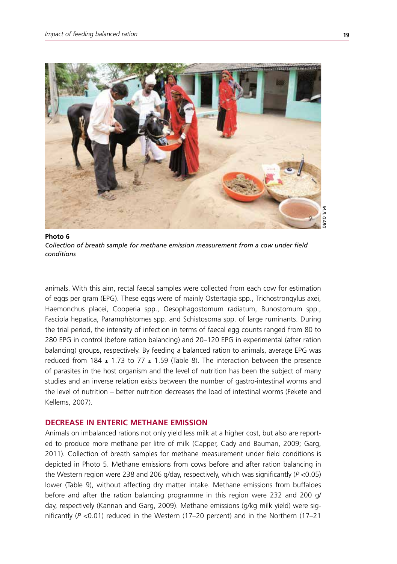

**Photo 6** *Collection of breath sample for methane emission measurement from a cow under field conditions*

animals. With this aim, rectal faecal samples were collected from each cow for estimation of eggs per gram (EPG). These eggs were of mainly Ostertagia spp., Trichostrongylus axei, Haemonchus placei, Cooperia spp., Oesophagostomum radiatum, Bunostomum spp., Fasciola hepatica, Paramphistomes spp. and Schistosoma spp. of large ruminants. During the trial period, the intensity of infection in terms of faecal egg counts ranged from 80 to 280 EPG in control (before ration balancing) and 20–120 EPG in experimental (after ration balancing) groups, respectively. By feeding a balanced ration to animals, average EPG was reduced from 184  $\pm$  1.73 to 77  $\pm$  1.59 (Table 8). The interaction between the presence of parasites in the host organism and the level of nutrition has been the subject of many studies and an inverse relation exists between the number of gastro-intestinal worms and the level of nutrition – better nutrition decreases the load of intestinal worms (Fekete and Kellems, 2007).

#### **decrease in enteric methane emission**

Animals on imbalanced rations not only yield less milk at a higher cost, but also are reported to produce more methane per litre of milk (Capper, Cady and Bauman, 2009; Garg, 2011). Collection of breath samples for methane measurement under field conditions is depicted in Photo 5. Methane emissions from cows before and after ration balancing in the Western region were 238 and 206 g/day, respectively, which was significantly (*P* <0.05) lower (Table 9), without affecting dry matter intake. Methane emissions from buffaloes before and after the ration balancing programme in this region were 232 and 200 g/ day, respectively (Kannan and Garg, 2009). Methane emissions (g/kg milk yield) were significantly (*P* <0.01) reduced in the Western (17–20 percent) and in the Northern (17–21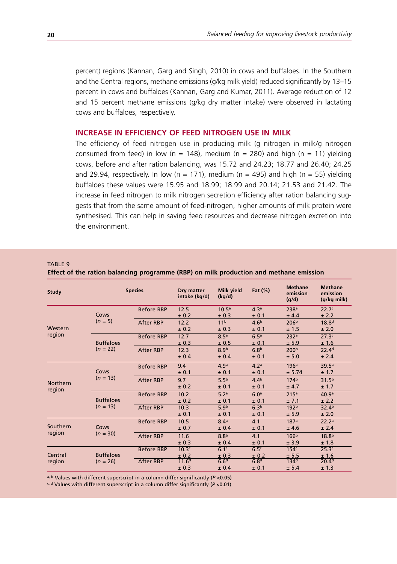percent) regions (Kannan, Garg and Singh, 2010) in cows and buffaloes. In the Southern and the Central regions, methane emissions (g/kg milk yield) reduced significantly by 13–15 percent in cows and buffaloes (Kannan, Garg and Kumar, 2011). Average reduction of 12 and 15 percent methane emissions (g/kg dry matter intake) were observed in lactating cows and buffaloes, respectively.

#### **increase in efficiency of feed nitrogen use in milk**

The efficiency of feed nitrogen use in producing milk (g nitrogen in milk/g nitrogen consumed from feed) in low (n = 148), medium (n = 280) and high (n = 11) yielding cows, before and after ration balancing, was 15.72 and 24.23; 18.77 and 26.40; 24.25 and 29.94, respectively. In low (n = 171), medium (n = 495) and high (n = 55) yielding buffaloes these values were 15.95 and 18.99; 18.99 and 20.14; 21.53 and 21.42. The increase in feed nitrogen to milk nitrogen secretion efficiency after ration balancing suggests that from the same amount of feed-nitrogen, higher amounts of milk protein were synthesised. This can help in saving feed resources and decrease nitrogen excretion into the environment.

TARIF 9

**Effect of the ration balancing programme (RBP) on milk production and methane emission**

| Study           |                                | <b>Species</b>    |                   | Milk yield<br>(kq/d) | Fat $(\%)$       | <b>Methane</b><br>emission<br>(g/d) | <b>Methane</b><br>emission<br>(g/kg milk) |
|-----------------|--------------------------------|-------------------|-------------------|----------------------|------------------|-------------------------------------|-------------------------------------------|
|                 |                                | <b>Before RBP</b> | 12.5              | 10.5 <sup>a</sup>    | 4.3 <sup>a</sup> | 238 <sup>a</sup>                    | 22.7 <sup>c</sup>                         |
|                 | Cows                           |                   | ± 0.2             | ± 0.3                | ± 0.1            | ± 4.4                               | ± 2.2                                     |
|                 | $(n = 5)$                      | <b>After RBP</b>  | 12.2              | 11 <sup>b</sup>      | 4.6 <sup>b</sup> | 206 <sup>b</sup>                    | 18.8 <sup>d</sup>                         |
| Western         |                                |                   | ± 0.2             | ± 0.3                | ± 0.1            | ±1.5                                | ± 2.0                                     |
| region          |                                | <b>Before RBP</b> | 12.7              | 8.5 <sup>a</sup>     | 6.5 <sup>a</sup> | 232 <sup>a</sup>                    | 27.3c                                     |
|                 | <b>Buffaloes</b>               |                   | ± 0.3             | ± 0.5                | ± 0.1            | ± 5.9                               | ±1.6                                      |
|                 | $(n = 22)$                     | <b>After RBP</b>  | 12.3              | 8.9 <sup>b</sup>     | 6.8 <sup>b</sup> | 200 <sup>b</sup>                    | 22.4 <sup>d</sup>                         |
|                 |                                |                   | ± 0.4             | ± 0.4                | ± 0.1            | ± 5.0                               | ± 2.4                                     |
|                 | Cows<br>$(n = 13)$             | <b>Before RBP</b> | 9.4               | 4.9 <sup>a</sup>     | 4.2 <sup>a</sup> | 196 <sup>a</sup>                    | 39.5 <sup>a</sup>                         |
|                 |                                |                   | ± 0.1             | ± 0.1                | ± 0.1            | ± 5.74                              | ± 1.7                                     |
| <b>Northern</b> |                                | <b>After RBP</b>  | 9.7               | 5.5 <sup>b</sup>     | 4.4 <sup>b</sup> | 174 <sup>b</sup>                    | 31.5 <sup>b</sup>                         |
| region          |                                |                   | ± 0.2             | ± 0.1                | ± 0.1            | ± 4.7                               | ± 1.7                                     |
|                 | <b>Buffaloes</b><br>$(n = 13)$ | <b>Before RBP</b> | 10.2              | 5.2 <sup>a</sup>     | 6.0 <sup>a</sup> | 215 <sup>a</sup>                    | 40.9 <sup>a</sup>                         |
|                 |                                |                   | ± 0.2             | ± 0.1                | ± 0.1            | ±7.1                                | ± 2.2                                     |
|                 |                                | <b>After RBP</b>  | 10.3              | 5.9 <sup>b</sup>     | 6.3 <sup>b</sup> | 192 <sup>b</sup>                    | 32.4 <sup>b</sup>                         |
|                 |                                |                   | ± 0.1             | ± 0.1                | ± 0.1            | ± 5.9                               | ± 2.0                                     |
|                 |                                | <b>Before RBP</b> | 10.5              | 8.4 <sup>a</sup>     | 4.1              | 187 <sup>a</sup>                    | 22.2 <sup>a</sup>                         |
| Southern        | Cows                           |                   | ± 0.7             | ± 0.4                | ± 0.1            | ±4.6                                | ± 2.4                                     |
| region          | $(n = 30)$                     | <b>After RBP</b>  | 11.6              | 8.8 <sup>b</sup>     | 4.1              | 166 <sup>b</sup>                    | 18.8 <sup>b</sup>                         |
|                 |                                |                   | ± 0.3             | ± 0.4                | ± 0.1            | ± 3.9                               | ±1.8                                      |
|                 |                                | <b>Before RBP</b> | 10.3 <sup>c</sup> | 6.1 <sup>c</sup>     | 6.5 <sup>c</sup> | 154 <sup>c</sup>                    | 25.3 <sup>c</sup>                         |
| Central         | <b>Buffaloes</b>               |                   | ± 0.2             | ± 0.3                | ± 0.2            | ± 5.5                               | ±1.6                                      |
| region          | $(n = 26)$                     | <b>After RBP</b>  | 11.6 <sup>d</sup> | 6.6 <sup>d</sup>     | 6.8 <sup>d</sup> | 134 <sup>d</sup>                    | 20.4 <sup>d</sup>                         |
|                 |                                |                   | ± 0.3             | ± 0.4                | ± 0.1            | ± 5.4                               | ± 1.3                                     |

a, b Values with different superscript in a column differ significantly (*P* <0.05)

c, d Values with different superscript in a column differ significantly (*P* <0.01)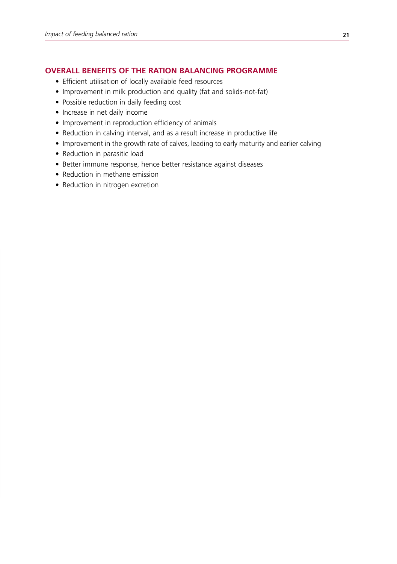#### **overall Benefits of THE ration balancing programme**

- Efficient utilisation of locally available feed resources
- Improvement in milk production and quality (fat and solids-not-fat)
- Possible reduction in daily feeding cost
- Increase in net daily income
- Improvement in reproduction efficiency of animals
- Reduction in calving interval, and as a result increase in productive life
- Improvement in the growth rate of calves, leading to early maturity and earlier calving
- Reduction in parasitic load
- Better immune response, hence better resistance against diseases
- Reduction in methane emission
- Reduction in nitrogen excretion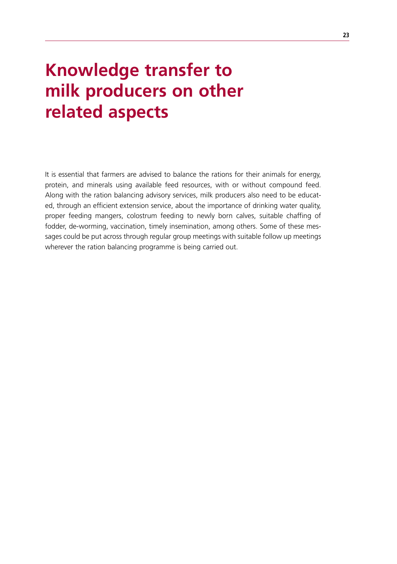# **Knowledge transfer to milk producers on other related aspects**

It is essential that farmers are advised to balance the rations for their animals for energy, protein, and minerals using available feed resources, with or without compound feed. Along with the ration balancing advisory services, milk producers also need to be educated, through an efficient extension service, about the importance of drinking water quality, proper feeding mangers, colostrum feeding to newly born calves, suitable chaffing of fodder, de-worming, vaccination, timely insemination, among others. Some of these messages could be put across through regular group meetings with suitable follow up meetings wherever the ration balancing programme is being carried out.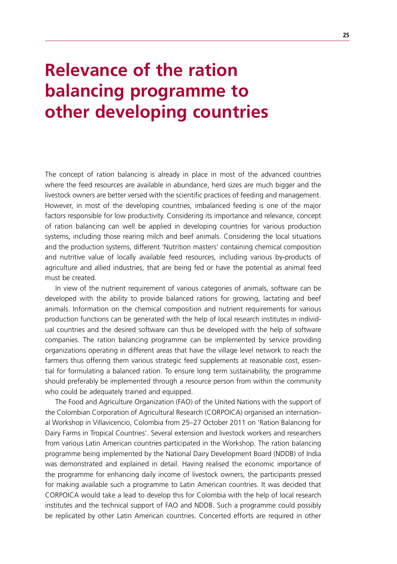# **Relevance of the ration balancing programme to other developing countries**

The concept of ration balancing is already in place in most of the advanced countries where the feed resources are available in abundance, herd sizes are much bigger and the livestock owners are better versed with the scientific practices of feeding and management. However, in most of the developing countries, imbalanced feeding is one of the major factors responsible for low productivity. Considering its importance and relevance, concept of ration balancing can well be applied in developing countries for various production systems, including those rearing milch and beef animals. Considering the local situations and the production systems, different 'Nutrition masters' containing chemical composition and nutritive value of locally available feed resources, including various by-products of agriculture and allied industries, that are being fed or have the potential as animal feed must be created.

In view of the nutrient requirement of various categories of animals, software can be developed with the ability to provide balanced rations for growing, lactating and beef animals. Information on the chemical composition and nutrient requirements for various production functions can be generated with the help of local research institutes in individual countries and the desired software can thus be developed with the help of software companies. The ration balancing programme can be implemented by service providing organizations operating in different areas that have the village level network to reach the farmers thus offering them various strategic feed supplements at reasonable cost, essential for formulating a balanced ration. To ensure long term sustainability, the programme should preferably be implemented through a resource person from within the community who could be adequately trained and equipped.

The Food and Agriculture Organization (FAO) of the United Nations with the support of the Colombian Corporation of Agricultural Research (CORPOICA) organised an international Workshop in Villavicencio, Colombia from 25–27 October 2011 on 'Ration Balancing for Dairy Farms in Tropical Countries'. Several extension and livestock workers and researchers from various Latin American countries participated in the Workshop. The ration balancing programme being implemented by the National Dairy Development Board (NDDB) of India was demonstrated and explained in detail. Having realised the economic importance of the programme for enhancing daily income of livestock owners, the participants pressed for making available such a programme to Latin American countries. It was decided that CORPOICA would take a lead to develop this for Colombia with the help of local research institutes and the technical support of FAO and NDDB. Such a programme could possibly be replicated by other Latin American countries. Concerted efforts are required in other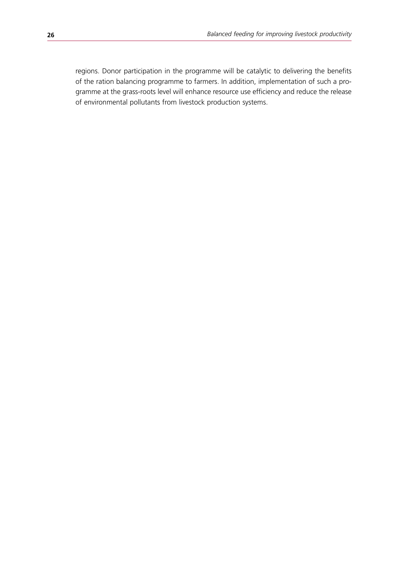regions. Donor participation in the programme will be catalytic to delivering the benefits of the ration balancing programme to farmers. In addition, implementation of such a programme at the grass-roots level will enhance resource use efficiency and reduce the release of environmental pollutants from livestock production systems.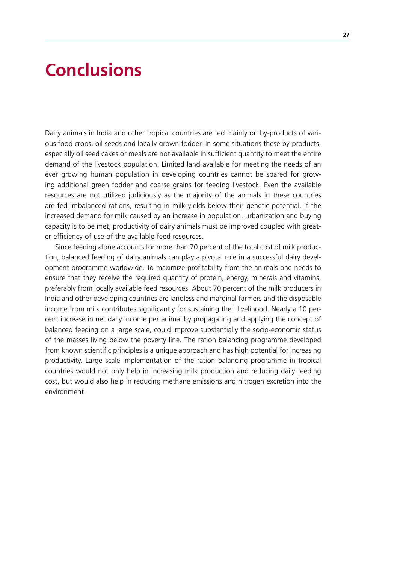### **Conclusions**

Dairy animals in India and other tropical countries are fed mainly on by-products of various food crops, oil seeds and locally grown fodder. In some situations these by-products, especially oil seed cakes or meals are not available in sufficient quantity to meet the entire demand of the livestock population. Limited land available for meeting the needs of an ever growing human population in developing countries cannot be spared for growing additional green fodder and coarse grains for feeding livestock. Even the available resources are not utilized judiciously as the majority of the animals in these countries are fed imbalanced rations, resulting in milk yields below their genetic potential. If the increased demand for milk caused by an increase in population, urbanization and buying capacity is to be met, productivity of dairy animals must be improved coupled with greater efficiency of use of the available feed resources.

Since feeding alone accounts for more than 70 percent of the total cost of milk production, balanced feeding of dairy animals can play a pivotal role in a successful dairy development programme worldwide. To maximize profitability from the animals one needs to ensure that they receive the required quantity of protein, energy, minerals and vitamins, preferably from locally available feed resources. About 70 percent of the milk producers in India and other developing countries are landless and marginal farmers and the disposable income from milk contributes significantly for sustaining their livelihood. Nearly a 10 percent increase in net daily income per animal by propagating and applying the concept of balanced feeding on a large scale, could improve substantially the socio-economic status of the masses living below the poverty line. The ration balancing programme developed from known scientific principles is a unique approach and has high potential for increasing productivity. Large scale implementation of the ration balancing programme in tropical countries would not only help in increasing milk production and reducing daily feeding cost, but would also help in reducing methane emissions and nitrogen excretion into the environment.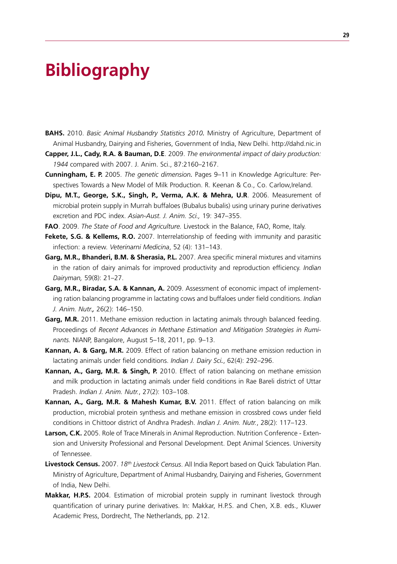## **Bibliography**

- **BAHS.** 2010. *Basic Animal Husbandry Statistics 2010.* Ministry of Agriculture, Department of Animal Husbandry, Dairying and Fisheries, Government of India, New Delhi. http://dahd.nic.in
- **Capper, J.L., Cady, R.A. & Bauman, D.E**. 2009. *The environmental impact of dairy production: 1944* compared with 2007. J. Anim. Sci., 87:2160–2167.
- **Cunningham, E. P.** 2005. *The genetic dimension.* Pages 9–11 in Knowledge Agriculture: Perspectives Towards a New Model of Milk Production. R. Keenan & Co., Co. Carlow,Ireland.
- **Dipu, M.T., George, S.K., Singh, P., Verma, A.K. & Mehra, U.R**. 2006. Measurement of microbial protein supply in Murrah buffaloes (Bubalus bubalis) using urinary purine derivatives excretion and PDC index. *Asian-Aust. J. Anim. Sci.,* 19: 347–355.
- **FAO** . 2009. *The State of Food and Agriculture.* Livestock in the Balance, FAO, Rome, Italy.
- **Fekete, S.G. & Kellems, R.O.** 2007. Interrelationship of feeding with immunity and parasitic infection: a review. *Veterinarni Medicina*, 52 (4): 131–143.
- **Garg, M.R., Bhanderi, B.M. & Sherasia, P.L.** 2007. Area specific mineral mixtures and vitamins in the ration of dairy animals for improved productivity and reproduction efficiency. *Indian Dairyman,* 59(8): 21–27.
- **Garg, M.R., Biradar, S.A. & Kannan, A.** 2009. Assessment of economic impact of implementing ration balancing programme in lactating cows and buffaloes under field conditions. *Indian J. Anim. Nutr.,* 26(2): 146–150.
- **Garg, M.R.** 2011. Methane emission reduction in lactating animals through balanced feeding. Proceedings of *Recent Advances in Methane Estimation and Mitigation Strategies in Ruminants.* NIANP, Bangalore, August 5–18, 2011, pp. 9–13.
- **Kannan, A. & Garg, M.R.** 2009. Effect of ration balancing on methane emission reduction in lactating animals under field conditions. *Indian J. Dairy Sci.*, 62(4): 292–296.
- **Kannan, A., Garg, M.R. & Singh, P.** 2010. Effect of ration balancing on methane emission and milk production in lactating animals under field conditions in Rae Bareli district of Uttar Pradesh. *Indian J. Anim. Nutr.*, 27(2): 103–108.
- **Kannan, A., Garg, M.R. & Mahesh Kumar, B.V.** 2011. Effect of ration balancing on milk production, microbial protein synthesis and methane emission in crossbred cows under field conditions in Chittoor district of Andhra Pradesh. *Indian J. Anim. Nutr.*, 28(2): 117–123.
- **Larson, C.K.** 2005. Role of Trace Minerals in Animal Reproduction. Nutrition Conference Extension and University Professional and Personal Development. Dept Animal Sciences. University of Tennessee.
- **Livestock Census.** 2007. *18th Livestock Census*. All India Report based on Quick Tabulation Plan. Ministry of Agriculture, Department of Animal Husbandry, Dairying and Fisheries, Government of India, New Delhi.
- **Makkar, H.P.S.** 2004. Estimation of microbial protein supply in ruminant livestock through quantification of urinary purine derivatives. In: Makkar, H.P.S. and Chen, X.B. eds., Kluwer Academic Press, Dordrecht, The Netherlands, pp. 212.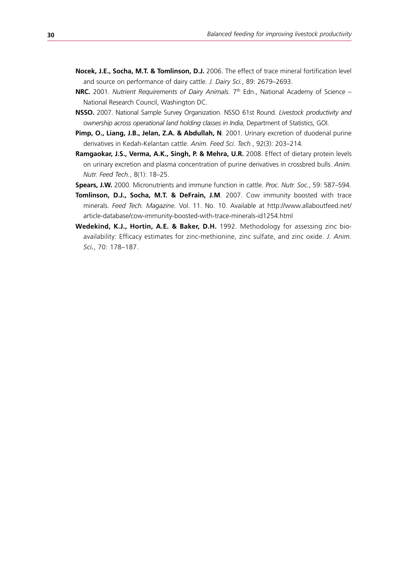- **Nocek, J.E., Socha, M.T. & Tomlinson, D.J.** 2006. The effect of trace mineral fortification level and source on performance of dairy cattle. *J. Dairy Sci.*, 89: 2679–2693.
- **NRC.** 2001. *Nutrient Requirements of Dairy Animals.* 7<sup>th</sup> Edn., National Academy of Science National Research Council, Washington DC.
- **NSSO.** 2007. National Sample Survey Organization. NSSO 61st Round. *Livestock productivity and ownership across operational land holding classes in India*, Department of Statistics, GOI.
- **Pimp, O., Liang, J.B., Jelan, Z.A. & Abdullah, N**. 2001. Urinary excretion of duodenal purine derivatives in Kedah-Kelantan cattle. *Anim. Feed Sci. Tech.*, 92(3): 203–214.
- **Ramgaokar, J.S., Verma, A.K., Singh, P. & Mehra, U.R.** 2008. Effect of dietary protein levels on urinary excretion and plasma concentration of purine derivatives in crossbred bulls. *Anim. Nutr. Feed Tech.*, 8(1): 18–25.
- **Spears, J.W.** 2000. Micronutrients and immune function in cattle. *Proc. Nutr. Soc.*, 59: 587–594.
- **Tomlinson, D.J., Socha, M.T. & DeFrain, J.M**. 2007. Cow immunity boosted with trace minerals. *Feed Tech. Magazine.* Vol. 11. No. 10. Available at http://www.allaboutfeed.net/ article-database/cow-immunity-boosted-with-trace-minerals-id1254.html
- **Wedekind, K.J., Hortin, A.E. & Baker, D.H.** 1992. Methodology for assessing zinc bioavailability: Efficacy estimates for zinc-methionine, zinc sulfate, and zinc oxide. *J. Anim. Sci.*, 70: 178–187.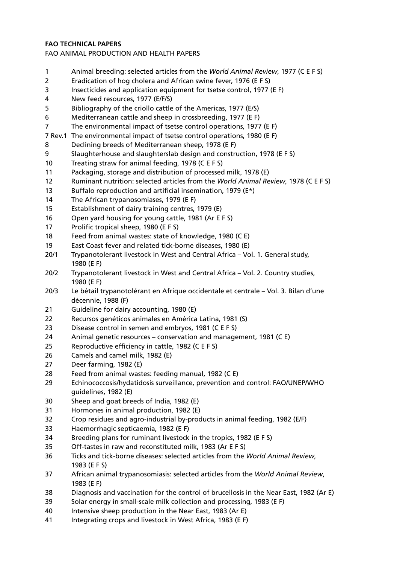#### **FAO Technical Papers**

#### FAO ANIMAL PRODUCTION AND HEALTH PAPERS

- 1 Animal breeding: selected articles from the *World Animal Review*, 1977 (C E F S)
- 2 Eradication of hog cholera and African swine fever, 1976 (E F S)
- 3 Insecticides and application equipment for tsetse control, 1977 (E F)
- 4 New feed resources, 1977 (E/F/S)
- 5 Bibliography of the criollo cattle of the Americas, 1977 (E/S)
- 6 Mediterranean cattle and sheep in crossbreeding, 1977 (E F)
- 7 The environmental impact of tsetse control operations, 1977 (E F)
- 7 Rev.1 The environmental impact of tsetse control operations, 1980 (E F)
- 8 Declining breeds of Mediterranean sheep, 1978 (E F)
- 9 Slaughterhouse and slaughterslab design and construction, 1978 (E F S)
- 10 Treating straw for animal feeding, 1978 (C E F S)
- 11 Packaging, storage and distribution of processed milk, 1978 (E)
- 12 Ruminant nutrition: selected articles from the *World Animal Review*, 1978 (C E F S)
- 13 Buffalo reproduction and artificial insemination, 1979 (E\*)
- 14 The African trypanosomiases, 1979 (E F)
- 15 Establishment of dairy training centres, 1979 (E)
- 16 Open yard housing for young cattle, 1981 (Ar E F S)
- 17 Prolific tropical sheep, 1980 (E F S)
- 18 Feed from animal wastes: state of knowledge, 1980 (C E)
- 19 East Coast fever and related tick-borne diseases, 1980 (E)
- 20/1 Trypanotolerant livestock in West and Central Africa Vol. 1. General study, 1980 (E F)
- 20/2 Trypanotolerant livestock in West and Central Africa Vol. 2. Country studies, 1980 (E F)
- 20/3 Le bétail trypanotolérant en Afrique occidentale et centrale Vol. 3. Bilan d'une décennie, 1988 (F)
- 21 Guideline for dairy accounting, 1980 (E)
- 22 Recursos genéticos animales en América Latina, 1981 (S)
- 23 Disease control in semen and embryos, 1981 (C E F S)
- 24 Animal genetic resources conservation and management, 1981 (C E)
- 25 Reproductive efficiency in cattle, 1982 (C E F S)
- 26 Camels and camel milk, 1982 (E)
- 27 Deer farming, 1982 (E)
- 28 Feed from animal wastes: feeding manual, 1982 (C E)
- 29 Echinococcosis/hydatidosis surveillance, prevention and control: FAO/UNEP/WHO guidelines, 1982 (E)
- 30 Sheep and goat breeds of India, 1982 (E)
- 31 Hormones in animal production, 1982 (E)
- 32 Crop residues and agro-industrial by-products in animal feeding, 1982 (E/F)
- 33 Haemorrhagic septicaemia, 1982 (E F)
- 34 Breeding plans for ruminant livestock in the tropics, 1982 (E F S)
- 35 Off-tastes in raw and reconstituted milk, 1983 (Ar E F S)
- 36 Ticks and tick-borne diseases: selected articles from the *World Animal Review*, 1983 (E F S)
- 37 African animal trypanosomiasis: selected articles from the *World Animal Review*, 1983 (E F)
- 38 Diagnosis and vaccination for the control of brucellosis in the Near East, 1982 (Ar E)
- 39 Solar energy in small-scale milk collection and processing, 1983 (E F)
- 40 Intensive sheep production in the Near East, 1983 (Ar E)
- 41 Integrating crops and livestock in West Africa, 1983 (E F)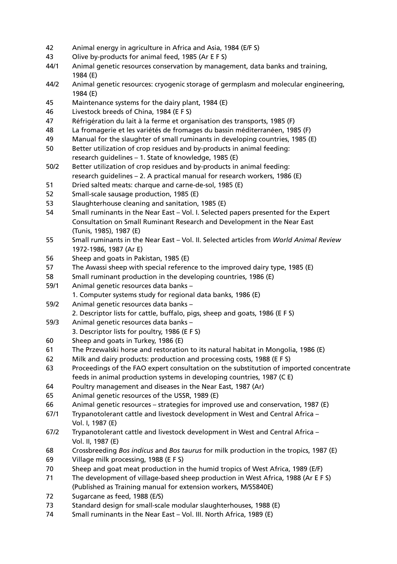- 42 Animal energy in agriculture in Africa and Asia, 1984 (E/F S)
- 43 Olive by-products for animal feed, 1985 (Ar E F S)
- 44/1 Animal genetic resources conservation by management, data banks and training, 1984 (E)
- 44/2 Animal genetic resources: cryogenic storage of germplasm and molecular engineering, 1984 (E)
- 45 Maintenance systems for the dairy plant, 1984 (E)
- 46 Livestock breeds of China, 1984 (E F S)
- 47 Réfrigération du lait à la ferme et organisation des transports, 1985 (F)
- 48 La fromagerie et les variétés de fromages du bassin méditerranéen, 1985 (F)
- 49 Manual for the slaughter of small ruminants in developing countries, 1985 (E)
- 50 Better utilization of crop residues and by-products in animal feeding: research guidelines – 1. State of knowledge, 1985 (E)
- 50/2 Better utilization of crop residues and by-products in animal feeding: research guidelines – 2. A practical manual for research workers, 1986 (E)
- 51 Dried salted meats: charque and carne-de-sol, 1985 (E)
- 52 Small-scale sausage production, 1985 (E)
- 53 Slaughterhouse cleaning and sanitation, 1985 (E)
- 54 Small ruminants in the Near East Vol. I. Selected papers presented for the Expert Consultation on Small Ruminant Research and Development in the Near East (Tunis, 1985), 1987 (E)
- 55 Small ruminants in the Near East Vol. II. Selected articles from *World Animal Review* 1972-1986, 1987 (Ar E)
- 56 Sheep and goats in Pakistan, 1985 (E)
- 57 The Awassi sheep with special reference to the improved dairy type, 1985 (E)
- 58 Small ruminant production in the developing countries, 1986 (E)
- 59/1 Animal genetic resources data banks
	- 1. Computer systems study for regional data banks, 1986 (E)
- 59/2 Animal genetic resources data banks –
- 2. Descriptor lists for cattle, buffalo, pigs, sheep and goats, 1986 (E F S)
- 59/3 Animal genetic resources data banks 3. Descriptor lists for poultry, 1986 (E F S)
- 60 Sheep and goats in Turkey, 1986 (E)
- 61 The Przewalski horse and restoration to its natural habitat in Mongolia, 1986 (E)
- 62 Milk and dairy products: production and processing costs, 1988 (E F S)
- 63 Proceedings of the FAO expert consultation on the substitution of imported concentrate feeds in animal production systems in developing countries, 1987 (C E)
- 64 Poultry management and diseases in the Near East, 1987 (Ar)
- 65 Animal genetic resources of the USSR, 1989 (E)
- 66 Animal genetic resources strategies for improved use and conservation, 1987 (E)
- 67/1 Trypanotolerant cattle and livestock development in West and Central Africa Vol. I, 1987 (E)
- 67/2 Trypanotolerant cattle and livestock development in West and Central Africa Vol. II, 1987 (E)
- 68 Crossbreeding *Bos indicus* and *Bos taurus* for milk production in the tropics, 1987 (E)
- 69 Village milk processing, 1988 (E F S)
- 70 Sheep and goat meat production in the humid tropics of West Africa, 1989 (E/F)
- 71 The development of village-based sheep production in West Africa, 1988 (Ar E F S) (Published as Training manual for extension workers, M/S5840E)
- 72 Sugarcane as feed, 1988 (E/S)
- 73 Standard design for small-scale modular slaughterhouses, 1988 (E)
- 74 Small ruminants in the Near East Vol. III. North Africa, 1989 (E)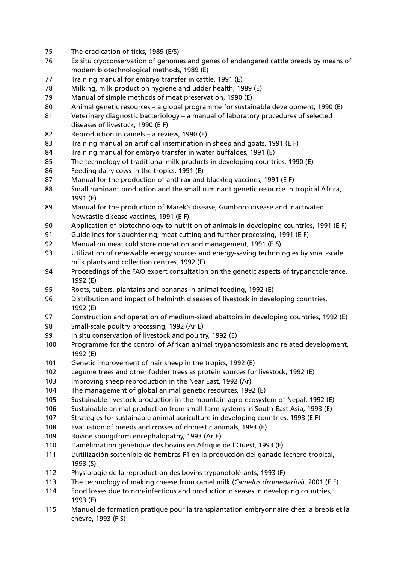- The eradication of ticks, 1989 (E/S)
- 76 Ex situ cryoconservation of genomes and genes of endangered cattle breeds by means of modern biotechnological methods, 1989 (E)
- Training manual for embryo transfer in cattle, 1991 (E)
- Milking, milk production hygiene and udder health, 1989 (E)
- Manual of simple methods of meat preservation, 1990 (E)
- 80 Animal genetic resources a global programme for sustainable development, 1990 (E)
- Veterinary diagnostic bacteriology a manual of laboratory procedures of selected diseases of livestock, 1990 (E F)
- Reproduction in camels a review, 1990 (E)
- Training manual on artificial insemination in sheep and goats, 1991 (E F)
- Training manual for embryo transfer in water buffaloes, 1991 (E)
- The technology of traditional milk products in developing countries, 1990 (E)
- Feeding dairy cows in the tropics, 1991 (E)
- Manual for the production of anthrax and blackleg vaccines, 1991 (E F)
- Small ruminant production and the small ruminant genetic resource in tropical Africa, 1991 (E)
- Manual for the production of Marek's disease, Gumboro disease and inactivated Newcastle disease vaccines, 1991 (E F)
- 90 Application of biotechnology to nutrition of animals in developing countries, 1991 (E F)
- Guidelines for slaughtering, meat cutting and further processing, 1991 (E F)
- Manual on meat cold store operation and management, 1991 (E S)
- Utilization of renewable energy sources and energy-saving technologies by small-scale milk plants and collection centres, 1992 (E)
- Proceedings of the FAO expert consultation on the genetic aspects of trypanotolerance, 1992 (E)
- Roots, tubers, plantains and bananas in animal feeding, 1992 (E)
- Distribution and impact of helminth diseases of livestock in developing countries, 1992 (E)
- Construction and operation of medium-sized abattoirs in developing countries, 1992 (E)
- Small-scale poultry processing, 1992 (Ar E)
- In situ conservation of livestock and poultry, 1992 (E)
- Programme for the control of African animal trypanosomiasis and related development, 1992 (E)
- Genetic improvement of hair sheep in the tropics, 1992 (E)
- 102 Legume trees and other fodder trees as protein sources for livestock, 1992 (E)
- Improving sheep reproduction in the Near East, 1992 (Ar)
- The management of global animal genetic resources, 1992 (E)
- Sustainable livestock production in the mountain agro-ecosystem of Nepal, 1992 (E)
- Sustainable animal production from small farm systems in South-East Asia, 1993 (E)
- Strategies for sustainable animal agriculture in developing countries, 1993 (E F)
- 108 Evaluation of breeds and crosses of domestic animals, 1993 (E)
- 109 Bovine spongiform encephalopathy, 1993 (Ar E)
- 110 L'amélioration génétique des bovins en Afrique de l'Ouest, 1993 (F)
- 111 L'utilización sostenible de hembras F1 en la producción del ganado lechero tropical, 1993 (S)
- Physiologie de la reproduction des bovins trypanotolérants, 1993 (F)
- The technology of making cheese from camel milk (*Camelus dromedarius*), 2001 (E F)
- Food losses due to non-infectious and production diseases in developing countries, 1993 (E)
- Manuel de formation pratique pour la transplantation embryonnaire chez la brebis et la chèvre, 1993 (F S)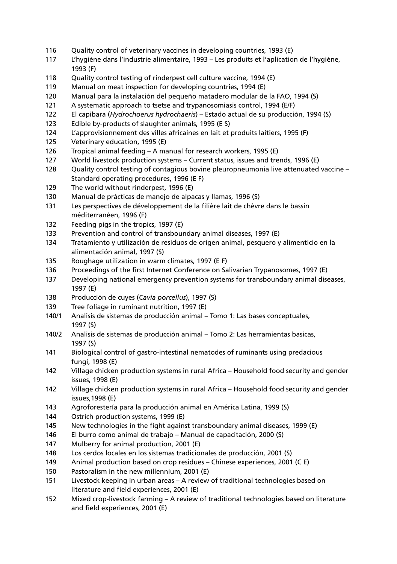- 116 Quality control of veterinary vaccines in developing countries, 1993 (E)
- 117 L'hygiène dans l'industrie alimentaire, 1993 Les produits et l'aplication de l'hygiène, 1993 (F)
- 118 Quality control testing of rinderpest cell culture vaccine, 1994 (E)
- 119 Manual on meat inspection for developing countries, 1994 (E)
- 120 Manual para la instalación del pequeño matadero modular de la FAO, 1994 (S)
- 121 A systematic approach to tsetse and trypanosomiasis control, 1994 (E/F)
- 122 El capibara (*Hydrochoerus hydrochaeris*) Estado actual de su producción, 1994 (S)
- 123 Edible by-products of slaughter animals, 1995 (E S)
- 124 L'approvisionnement des villes africaines en lait et produits laitiers, 1995 (F)
- 125 Veterinary education, 1995 (E)
- 126 Tropical animal feeding A manual for research workers, 1995 (E)
- 127 World livestock production systems Current status, issues and trends, 1996 (E)
- 128 Quality control testing of contagious bovine pleuropneumonia live attenuated vaccine Standard operating procedures, 1996 (E F)
- 129 The world without rinderpest, 1996 (E)
- 130 Manual de prácticas de manejo de alpacas y llamas, 1996 (S)
- 131 Les perspectives de développement de la filière lait de chèvre dans le bassin méditerranéen, 1996 (F)
- 132 Feeding pigs in the tropics, 1997 (E)
- 133 Prevention and control of transboundary animal diseases, 1997 (E)
- 134 Tratamiento y utilización de residuos de origen animal, pesquero y alimenticio en la alimentación animal, 1997 (S)
- 135 Roughage utilization in warm climates, 1997 (E F)
- 136 Proceedings of the first Internet Conference on Salivarian Trypanosomes, 1997 (E)
- 137 Developing national emergency prevention systems for transboundary animal diseases, 1997 (E)
- 138 Producción de cuyes (*Cavia porcellus*), 1997 (S)
- 139 Tree foliage in ruminant nutrition, 1997 (E)
- 140/1 Analisis de sistemas de producción animal Tomo 1: Las bases conceptuales, 1997 (S)
- 140/2 Analisis de sistemas de producción animal Tomo 2: Las herramientas basicas, 1997 (S)
- 141 Biological control of gastro-intestinal nematodes of ruminants using predacious fungi, 1998 (E)
- 142 Village chicken production systems in rural Africa Household food security and gender issues, 1998 (E)
- 142 Village chicken production systems in rural Africa Household food security and gender issues,1998 (E)
- 143 Agroforestería para la producción animal en América Latina, 1999 (S)
- 144 Ostrich production systems, 1999 (E)
- 145 New technologies in the fight against transboundary animal diseases, 1999 (E)
- 146 El burro como animal de trabajo Manual de capacitación, 2000 (S)
- 147 Mulberry for animal production, 2001 (E)
- 148 Los cerdos locales en los sistemas tradicionales de producción, 2001 (S)
- 149 Animal production based on crop residues Chinese experiences, 2001 (C E)
- 150 Pastoralism in the new millennium, 2001 (E)
- 151 Livestock keeping in urban areas A review of traditional technologies based on literature and field experiences, 2001 (E)
- 152 Mixed crop-livestock farming A review of traditional technologies based on literature and field experiences, 2001 (E)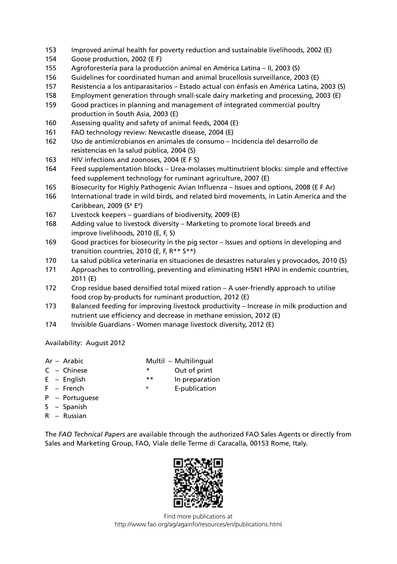- 153 Improved animal health for poverty reduction and sustainable livelihoods, 2002 (E)
- 154 Goose production, 2002 (E F)
- 155 Agroforestería para la producción animal en América Latina II, 2003 (S)
- 156 Guidelines for coordinated human and animal brucellosis surveillance, 2003 (E)
- 157 Resistencia a los antiparasitarios Estado actual con énfasis en América Latina, 2003 (S)
- 158 Employment generation through small-scale dairy marketing and processing, 2003 (E)
- 159 Good practices in planning and management of integrated commercial poultry production in South Asia, 2003 (E)
- 160 Assessing quality and safety of animal feeds, 2004 (E)
- 161 FAO technology review: Newcastle disease, 2004 (E)
- 162 Uso de antimicrobianos en animales de consumo Incidencia del desarrollo de resistencias en la salud pública, 2004 (S)
- 163 HIV infections and zoonoses, 2004 (E F S)
- 164 Feed supplementation blocks Urea-molasses multinutrient blocks: simple and effective feed supplement technology for ruminant agriculture, 2007 (E)
- 165 Biosecurity for Highly Pathogenic Avian Influenza Issues and options, 2008 (E F Ar)
- 166 International trade in wild birds, and related bird movements, in Latin America and the Caribbean, 2009 (Se Ee)
- 167 Livestock keepers guardians of biodiversity, 2009 (E)
- 168 Adding value to livestock diversity Marketing to promote local breeds and improve livelihoods, 2010 (E, F, S)
- 169 Good practices for biosecurity in the pig sector Issues and options in developing and transition countries, 2010 (E, F, R\*\* S\*\*)
- 170 La salud pública veterinaria en situaciones de desastres naturales y provocados, 2010 (S)
- 171 Approaches to controlling, preventing and eliminating H5N1 HPAI in endemic countries, 2011 (E)
- 172 Crop residue based densified total mixed ration A user-friendly approach to utilise food crop by-products for ruminant production, 2012 (E)
- 173 Balanced feeding for improving livestock productivity Increase in milk production and nutrient use efficiency and decrease in methane emission, 2012 (E)
- 174 Invisible Guardians Women manage livestock diversity, 2012 (E)

Availability: August 2012

- Ar Arabic Multil Multilingual
- C Chinese \* Out of print
- E English  $**$  In preparation
- F French e E-publication
- P Portuguese
- S Spanish
- R Russian

The *FAO Technical Papers* are available through the authorized FAO Sales Agents or directly from Sales and Marketing Group, FAO, Viale delle Terme di Caracalla, 00153 Rome, Italy.



Find more publications at http://www.fao.org/ag/againfo/resources/en/publications.html